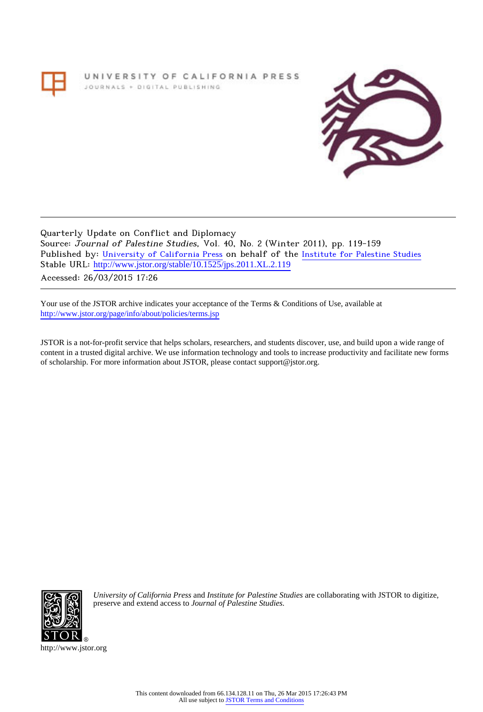UNIVERSITY OF CALIFORNIA PRESS JOURNALS + DIGITAL PUBLISHING



Quarterly Update on Conflict and Diplomacy Source: Journal of Palestine Studies, Vol. 40, No. 2 (Winter 2011), pp. 119-159 Published by: [University of California Press](http://www.jstor.org/action/showPublisher?publisherCode=ucal) on behalf of the [Institute for Palestine Studies](http://www.jstor.org/action/showPublisher?publisherCode=palstud) Stable URL: [http://www.jstor.org/stable/10.1525/jps.2011.XL.2.119](http://www.jstor.org/stable/10.1525/jps.2011.XL.2.119?origin=JSTOR-pdf) Accessed: 26/03/2015 17:26

Your use of the JSTOR archive indicates your acceptance of the Terms & Conditions of Use, available at <http://www.jstor.org/page/info/about/policies/terms.jsp>

JSTOR is a not-for-profit service that helps scholars, researchers, and students discover, use, and build upon a wide range of content in a trusted digital archive. We use information technology and tools to increase productivity and facilitate new forms of scholarship. For more information about JSTOR, please contact support@jstor.org.



*University of California Press* and *Institute for Palestine Studies* are collaborating with JSTOR to digitize, preserve and extend access to *Journal of Palestine Studies.*

http://www.jstor.org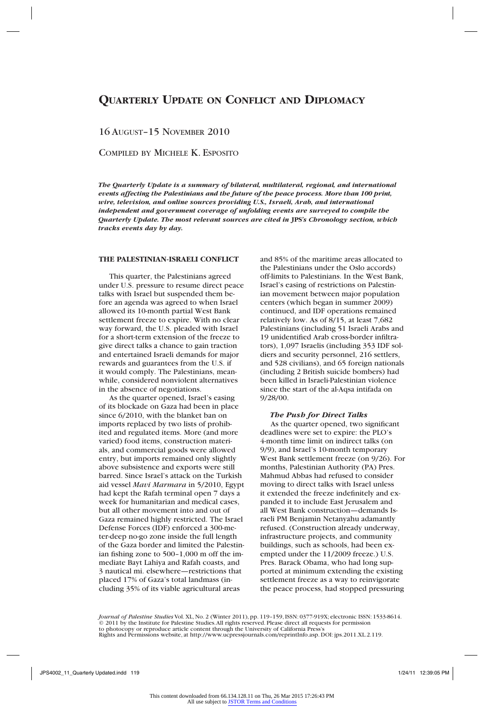# **Quarterly Update on Conflict and Diplomacy**

## 16 August–15 November 2010

Compiled by Michele K. Esposito

*The Quarterly Update is a summary of bilateral, multilateral, regional, and international events affecting the Palestinians and the future of the peace process. More than 100 print, wire, television, and online sources providing U.S., Israeli, Arab, and international independent and government coverage of unfolding events are surveyed to compile the Quarterly Update. The most relevant sources are cited in* **JPS***'s Chronology section, which tracks events day by day.*

## **THE PALESTINIAN-ISRAELI CONFLICT**

This quarter, the Palestinians agreed under U.S. pressure to resume direct peace talks with Israel but suspended them before an agenda was agreed to when Israel allowed its 10-month partial West Bank settlement freeze to expire. With no clear way forward, the U.S. pleaded with Israel for a short-term extension of the freeze to give direct talks a chance to gain traction and entertained Israeli demands for major rewards and guarantees from the U.S. if it would comply. The Palestinians, meanwhile, considered nonviolent alternatives in the absence of negotiations.

As the quarter opened, Israel's easing of its blockade on Gaza had been in place since 6/2010, with the blanket ban on imports replaced by two lists of prohibited and regulated items. More (and more varied) food items, construction materials, and commercial goods were allowed entry, but imports remained only slightly above subsistence and exports were still barred. Since Israel's attack on the Turkish aid vessel *Mavi Marmara* in 5/2010, Egypt had kept the Rafah terminal open 7 days a week for humanitarian and medical cases, but all other movement into and out of Gaza remained highly restricted. The Israel Defense Forces (IDF) enforced a 300-meter-deep no-go zone inside the full length of the Gaza border and limited the Palestinian fishing zone to 500–1,000 m off the immediate Bayt Lahiya and Rafah coasts, and 3 nautical mi. elsewhere—restrictions that placed 17% of Gaza's total landmass (including 35% of its viable agricultural areas

and 85% of the maritime areas allocated to the Palestinians under the Oslo accords) off-limits to Palestinians. In the West Bank, Israel's easing of restrictions on Palestinian movement between major population centers (which began in summer 2009) continued, and IDF operations remained relatively low. As of 8/15, at least 7,682 Palestinians (including 51 Israeli Arabs and 19 unidentified Arab cross-border infiltrators), 1,097 Israelis (including 353 IDF soldiers and security personnel, 216 settlers, and 528 civilians), and 65 foreign nationals (including 2 British suicide bombers) had been killed in Israeli-Palestinian violence since the start of the al-Aqsa intifada on 9/28/00.

## *The Push for Direct Talks*

As the quarter opened, two significant deadlines were set to expire: the PLO's 4-month time limit on indirect talks (on 9/9), and Israel's 10-month temporary West Bank settlement freeze (on 9/26). For months, Palestinian Authority (PA) Pres. Mahmud Abbas had refused to consider moving to direct talks with Israel unless it extended the freeze indefinitely and expanded it to include East Jerusalem and all West Bank construction—demands Israeli PM Benjamin Netanyahu adamantly refused. (Construction already underway, infrastructure projects, and community buildings, such as schools, had been exempted under the 11/2009 freeze.) U.S. Pres. Barack Obama, who had long supported at minimum extending the existing settlement freeze as a way to reinvigorate the peace process, had stopped pressuring

*Journal of Palestine Studies* Vol. XL, No. 2 (Winter 2011), pp. 119–159, ISSN: 0377-919X; electronic ISSN: 1533-8614. © 2011 by the Institute for Palestine Studies. All rights reserved. Please direct all requests for permission to photocopy or reproduce article content through the University of California Press's Rights and Permissions website, at http://www.ucpressjournals.com/reprintInfo.asp. DOI: jps.2011.XL.2.119.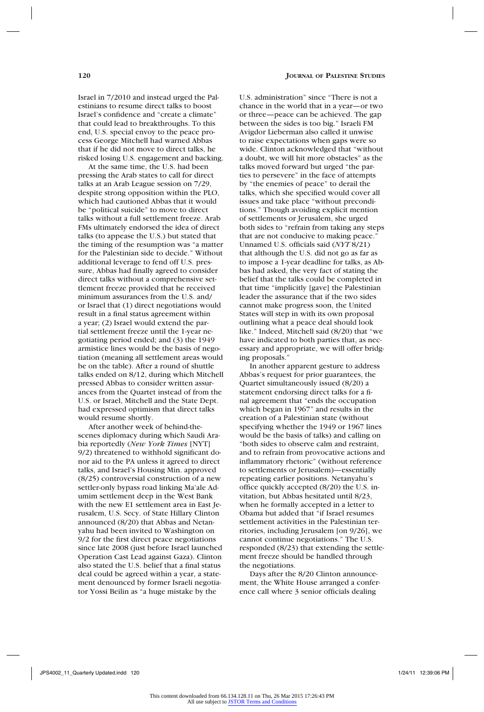Israel in 7/2010 and instead urged the Palestinians to resume direct talks to boost Israel's confidence and "create a climate" that could lead to breakthroughs. To this end, U.S. special envoy to the peace process George Mitchell had warned Abbas that if he did not move to direct talks, he risked losing U.S. engagement and backing.

At the same time, the U.S. had been pressing the Arab states to call for direct talks at an Arab League session on 7/29, despite strong opposition within the PLO, which had cautioned Abbas that it would be "political suicide" to move to direct talks without a full settlement freeze. Arab FMs ultimately endorsed the idea of direct talks (to appease the U.S.) but stated that the timing of the resumption was "a matter for the Palestinian side to decide." Without additional leverage to fend off U.S. pressure, Abbas had finally agreed to consider direct talks without a comprehensive settlement freeze provided that he received minimum assurances from the U.S. and/ or Israel that (1) direct negotiations would result in a final status agreement within a year; (2) Israel would extend the partial settlement freeze until the 1-year negotiating period ended; and (3) the 1949 armistice lines would be the basis of negotiation (meaning all settlement areas would be on the table). After a round of shuttle talks ended on 8/12, during which Mitchell pressed Abbas to consider written assurances from the Quartet instead of from the U.S. or Israel, Mitchell and the State Dept. had expressed optimism that direct talks would resume shortly.

After another week of behind-thescenes diplomacy during which Saudi Arabia reportedly (*New York Times* [NYT] 9/2) threatened to withhold significant donor aid to the PA unless it agreed to direct talks, and Israel's Housing Min. approved (8/25) controversial construction of a new settler-only bypass road linking Ma'ale Adumim settlement deep in the West Bank with the new E1 settlement area in East Jerusalem, U.S. Secy. of State Hillary Clinton announced (8/20) that Abbas and Netanyahu had been invited to Washington on 9/2 for the first direct peace negotiations since late 2008 (just before Israel launched Operation Cast Lead against Gaza). Clinton also stated the U.S. belief that a final status deal could be agreed within a year, a statement denounced by former Israeli negotiator Yossi Beilin as "a huge mistake by the

U.S. administration" since "There is not a chance in the world that in a year—or two or three—peace can be achieved. The gap between the sides is too big." Israeli FM Avigdor Lieberman also called it unwise to raise expectations when gaps were so wide. Clinton acknowledged that "without a doubt, we will hit more obstacles" as the talks moved forward but urged "the parties to persevere" in the face of attempts by "the enemies of peace" to derail the talks, which she specified would cover all issues and take place "without preconditions." Though avoiding explicit mention of settlements or Jerusalem, she urged both sides to "refrain from taking any steps that are not conducive to making peace." Unnamed U.S. officials said (*NYT* 8/21) that although the U.S. did not go as far as to impose a 1-year deadline for talks, as Abbas had asked, the very fact of stating the belief that the talks could be completed in that time "implicitly [gave] the Palestinian leader the assurance that if the two sides cannot make progress soon, the United States will step in with its own proposal outlining what a peace deal should look like." Indeed, Mitchell said (8/20) that "we have indicated to both parties that, as necessary and appropriate, we will offer bridging proposals."

In another apparent gesture to address Abbas's request for prior guarantees, the Quartet simultaneously issued (8/20) a statement endorsing direct talks for a final agreement that "ends the occupation which began in 1967" and results in the creation of a Palestinian state (without specifying whether the 1949 or 1967 lines would be the basis of talks) and calling on "both sides to observe calm and restraint, and to refrain from provocative actions and inflammatory rhetoric" (without reference to settlements or Jerusalem)—essentially repeating earlier positions. Netanyahu's office quickly accepted (8/20) the U.S. invitation, but Abbas hesitated until 8/23, when he formally accepted in a letter to Obama but added that "if Israel resumes settlement activities in the Palestinian territories, including Jerusalem [on 9/26], we cannot continue negotiations." The U.S. responded (8/23) that extending the settlement freeze should be handled through the negotiations.

Days after the 8/20 Clinton announcement, the White House arranged a conference call where 3 senior officials dealing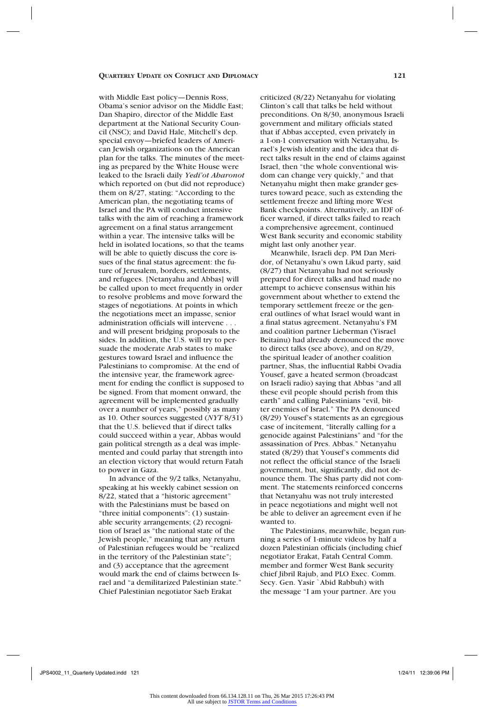with Middle East policy—Dennis Ross, Obama's senior advisor on the Middle East; Dan Shapiro, director of the Middle East department at the National Security Council (NSC); and David Hale, Mitchell's dep. special envoy—briefed leaders of American Jewish organizations on the American plan for the talks. The minutes of the meeting as prepared by the White House were leaked to the Israeli daily *Yedi'ot Aharonot*  which reported on (but did not reproduce) them on 8/27, stating: "According to the American plan, the negotiating teams of Israel and the PA will conduct intensive talks with the aim of reaching a framework agreement on a final status arrangement within a year. The intensive talks will be held in isolated locations, so that the teams will be able to quietly discuss the core issues of the final status agreement: the future of Jerusalem, borders, settlements, and refugees. [Netanyahu and Abbas] will be called upon to meet frequently in order to resolve problems and move forward the stages of negotiations. At points in which the negotiations meet an impasse, senior administration officials will intervene . . . and will present bridging proposals to the sides. In addition, the U.S. will try to persuade the moderate Arab states to make gestures toward Israel and influence the Palestinians to compromise. At the end of the intensive year, the framework agreement for ending the conflict is supposed to be signed. From that moment onward, the agreement will be implemented gradually over a number of years," possibly as many as 10. Other sources suggested (*NYT* 8/31) that the U.S. believed that if direct talks could succeed within a year, Abbas would gain political strength as a deal was implemented and could parlay that strength into an election victory that would return Fatah to power in Gaza.

In advance of the 9/2 talks, Netanyahu, speaking at his weekly cabinet session on 8/22, stated that a "historic agreement" with the Palestinians must be based on "three initial components": (1) sustainable security arrangements; (2) recognition of Israel as "the national state of the Jewish people," meaning that any return of Palestinian refugees would be "realized in the territory of the Palestinian state"; and (3) acceptance that the agreement would mark the end of claims between Israel and "a demilitarized Palestinian state." Chief Palestinian negotiator Saeb Erakat

criticized (8/22) Netanyahu for violating Clinton's call that talks be held without preconditions. On 8/30, anonymous Israeli government and military officials stated that if Abbas accepted, even privately in a 1-on-1 conversation with Netanyahu, Israel's Jewish identity and the idea that direct talks result in the end of claims against Israel, then "the whole conventional wisdom can change very quickly," and that Netanyahu might then make grander gestures toward peace, such as extending the settlement freeze and lifting more West Bank checkpoints. Alternatively, an IDF officer warned, if direct talks failed to reach a comprehensive agreement, continued West Bank security and economic stability might last only another year.

Meanwhile, Israeli dep. PM Dan Meridor, of Netanyahu's own Likud party, said (8/27) that Netanyahu had not seriously prepared for direct talks and had made no attempt to achieve consensus within his government about whether to extend the temporary settlement freeze or the general outlines of what Israel would want in a final status agreement. Netanyahu's FM and coalition partner Lieberman (Yisrael Beitainu) had already denounced the move to direct talks (see above), and on 8/29, the spiritual leader of another coalition partner, Shas, the influential Rabbi Ovadia Yousef, gave a heated sermon (broadcast on Israeli radio) saying that Abbas "and all these evil people should perish from this earth" and calling Palestinians "evil, bitter enemies of Israel." The PA denounced (8/29) Yousef's statements as an egregious case of incitement, "literally calling for a genocide against Palestinians" and "for the assassination of Pres. Abbas." Netanyahu stated (8/29) that Yousef's comments did not reflect the official stance of the Israeli government, but, significantly, did not denounce them. The Shas party did not comment. The statements reinforced concerns that Netanyahu was not truly interested in peace negotiations and might well not be able to deliver an agreement even if he wanted to.

The Palestinians, meanwhile, began running a series of 1-minute videos by half a dozen Palestinian officials (including chief negotiator Erakat, Fatah Central Comm. member and former West Bank security chief Jibril Rajub, and PLO Exec. Comm. Secy. Gen. Yasir `Abid Rabbuh) with the message "I am your partner. Are you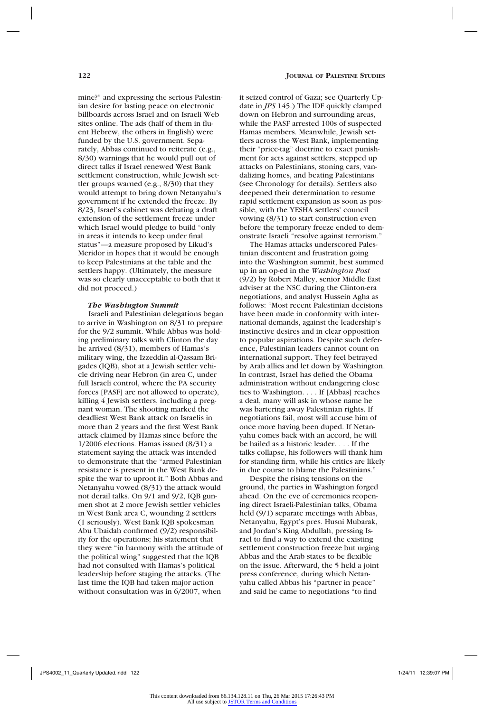mine?" and expressing the serious Palestinian desire for lasting peace on electronic billboards across Israel and on Israeli Web sites online. The ads (half of them in fluent Hebrew, the others in English) were funded by the U.S. government. Separately, Abbas continued to reiterate (e.g., 8/30) warnings that he would pull out of direct talks if Israel renewed West Bank settlement construction, while Jewish settler groups warned (e.g., 8/30) that they would attempt to bring down Netanyahu's government if he extended the freeze. By 8/23, Israel's cabinet was debating a draft extension of the settlement freeze under which Israel would pledge to build "only in areas it intends to keep under final status"—a measure proposed by Likud's Meridor in hopes that it would be enough to keep Palestinians at the table and the settlers happy. (Ultimately, the measure was so clearly unacceptable to both that it did not proceed.)

## *The Washington Summit*

Israeli and Palestinian delegations began to arrive in Washington on 8/31 to prepare for the 9/2 summit. While Abbas was holding preliminary talks with Clinton the day he arrived (8/31), members of Hamas's military wing, the Izzeddin al-Qassam Brigades (IQB), shot at a Jewish settler vehicle driving near Hebron (in area C, under full Israeli control, where the PA security forces [PASF] are not allowed to operate), killing 4 Jewish settlers, including a pregnant woman. The shooting marked the deadliest West Bank attack on Israelis in more than 2 years and the first West Bank attack claimed by Hamas since before the 1/2006 elections. Hamas issued (8/31) a statement saying the attack was intended to demonstrate that the "armed Palestinian resistance is present in the West Bank despite the war to uproot it." Both Abbas and Netanyahu vowed (8/31) the attack would not derail talks. On 9/1 and 9/2, IQB gunmen shot at 2 more Jewish settler vehicles in West Bank area C, wounding 2 settlers (1 seriously). West Bank IQB spokesman Abu Ubaidah confirmed (9/2) responsibility for the operations; his statement that they were "in harmony with the attitude of the political wing" suggested that the IQB had not consulted with Hamas's political leadership before staging the attacks. (The last time the IQB had taken major action without consultation was in 6/2007, when

it seized control of Gaza; see Quarterly Update in *JPS* 145.) The IDF quickly clamped down on Hebron and surrounding areas, while the PASF arrested 100s of suspected Hamas members. Meanwhile, Jewish settlers across the West Bank, implementing their "price-tag" doctrine to exact punishment for acts against settlers, stepped up attacks on Palestinians, stoning cars, vandalizing homes, and beating Palestinians (see Chronology for details). Settlers also deepened their determination to resume rapid settlement expansion as soon as possible, with the YESHA settlers' council vowing (8/31) to start construction even before the temporary freeze ended to demonstrate Israeli "resolve against terrorism."

The Hamas attacks underscored Palestinian discontent and frustration going into the Washington summit, best summed up in an op-ed in the *Washington Post*  (9/2) by Robert Malley, senior Middle East adviser at the NSC during the Clinton-era negotiations, and analyst Hussein Agha as follows: "Most recent Palestinian decisions have been made in conformity with international demands, against the leadership's instinctive desires and in clear opposition to popular aspirations. Despite such deference, Palestinian leaders cannot count on international support. They feel betrayed by Arab allies and let down by Washington. In contrast, Israel has defied the Obama administration without endangering close ties to Washington. . . . If [Abbas] reaches a deal, many will ask in whose name he was bartering away Palestinian rights. If negotiations fail, most will accuse him of once more having been duped. If Netanyahu comes back with an accord, he will be hailed as a historic leader. . . . If the talks collapse, his followers will thank him for standing firm, while his critics are likely in due course to blame the Palestinians."

Despite the rising tensions on the ground, the parties in Washington forged ahead. On the eve of ceremonies reopening direct Israeli-Palestinian talks, Obama held (9/1) separate meetings with Abbas, Netanyahu, Egypt's pres. Husni Mubarak, and Jordan's King Abdullah, pressing Israel to find a way to extend the existing settlement construction freeze but urging Abbas and the Arab states to be flexible on the issue. Afterward, the 5 held a joint press conference, during which Netanyahu called Abbas his "partner in peace" and said he came to negotiations "to find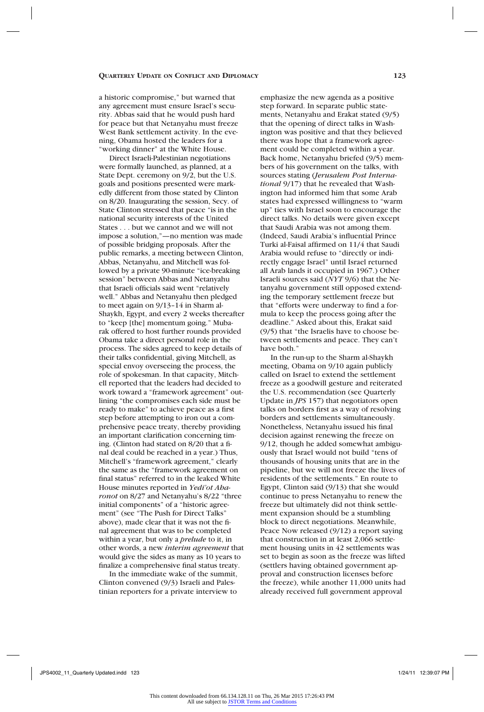a historic compromise," but warned that any agreement must ensure Israel's security. Abbas said that he would push hard for peace but that Netanyahu must freeze West Bank settlement activity. In the evening, Obama hosted the leaders for a "working dinner" at the White House.

Direct Israeli-Palestinian negotiations were formally launched, as planned, at a State Dept. ceremony on 9/2, but the U.S. goals and positions presented were markedly different from those stated by Clinton on 8/20. Inaugurating the session, Secy. of State Clinton stressed that peace "is in the national security interests of the United States . . . but we cannot and we will not impose a solution,"—no mention was made of possible bridging proposals. After the public remarks, a meeting between Clinton, Abbas, Netanyahu, and Mitchell was followed by a private 90-minute "ice-breaking session" between Abbas and Netanyahu that Israeli officials said went "relatively well." Abbas and Netanyahu then pledged to meet again on 9/13–14 in Sharm al-Shaykh, Egypt, and every 2 weeks thereafter to "keep [the] momentum going." Mubarak offered to host further rounds provided Obama take a direct personal role in the process. The sides agreed to keep details of their talks confidential, giving Mitchell, as special envoy overseeing the process, the role of spokesman. In that capacity, Mitchell reported that the leaders had decided to work toward a "framework agreement" outlining "the compromises each side must be ready to make" to achieve peace as a first step before attempting to iron out a comprehensive peace treaty, thereby providing an important clarification concerning timing. (Clinton had stated on 8/20 that a final deal could be reached in a year.) Thus, Mitchell's "framework agreement," clearly the same as the "framework agreement on final status" referred to in the leaked White House minutes reported in *Yedi'ot Aharonot* on 8/27 and Netanyahu's 8/22 "three initial components" of a "historic agreement" (see "The Push for Direct Talks" above), made clear that it was not the final agreement that was to be completed within a year, but only a *prelude* to it, in other words, a new *interim agreement* that would give the sides as many as 10 years to finalize a comprehensive final status treaty.

In the immediate wake of the summit, Clinton convened (9/3) Israeli and Palestinian reporters for a private interview to

emphasize the new agenda as a positive step forward. In separate public statements, Netanyahu and Erakat stated (9/5) that the opening of direct talks in Washington was positive and that they believed there was hope that a framework agreement could be completed within a year. Back home, Netanyahu briefed (9/5) members of his government on the talks, with sources stating (*Jerusalem Post International* 9/17) that he revealed that Washington had informed him that some Arab states had expressed willingness to "warm up" ties with Israel soon to encourage the direct talks. No details were given except that Saudi Arabia was not among them. (Indeed, Saudi Arabia's influential Prince Turki al-Faisal affirmed on 11/4 that Saudi Arabia would refuse to "directly or indirectly engage Israel" until Israel returned all Arab lands it occupied in 1967.) Other Israeli sources said (*NYT* 9/6) that the Netanyahu government still opposed extending the temporary settlement freeze but that "efforts were underway to find a formula to keep the process going after the deadline." Asked about this, Erakat said (9/5) that "the Israelis have to choose between settlements and peace. They can't have both."

In the run-up to the Sharm al-Shaykh meeting, Obama on 9/10 again publicly called on Israel to extend the settlement freeze as a goodwill gesture and reiterated the U.S. recommendation (see Quarterly Update in *JPS* 157) that negotiators open talks on borders first as a way of resolving borders and settlements simultaneously. Nonetheless, Netanyahu issued his final decision against renewing the freeze on 9/12, though he added somewhat ambiguously that Israel would not build "tens of thousands of housing units that are in the pipeline, but we will not freeze the lives of residents of the settlements." En route to Egypt, Clinton said (9/13) that she would continue to press Netanyahu to renew the freeze but ultimately did not think settlement expansion should be a stumbling block to direct negotiations. Meanwhile, Peace Now released (9/12) a report saying that construction in at least 2,066 settlement housing units in 42 settlements was set to begin as soon as the freeze was lifted (settlers having obtained government approval and construction licenses before the freeze), while another 11,000 units had already received full government approval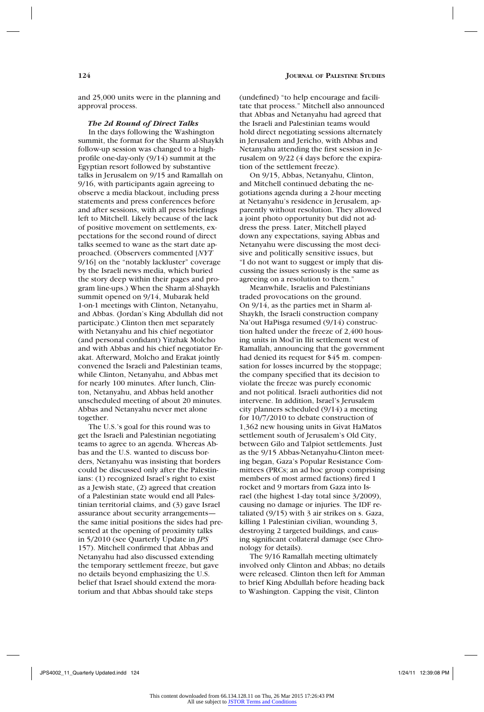and 25,000 units were in the planning and approval process.

#### *The 2d Round of Direct Talks*

In the days following the Washington summit, the format for the Sharm al-Shaykh follow-up session was changed to a highprofile one-day-only (9/14) summit at the Egyptian resort followed by substantive talks in Jerusalem on 9/15 and Ramallah on 9/16, with participants again agreeing to observe a media blackout, including press statements and press conferences before and after sessions, with all press briefings left to Mitchell. Likely because of the lack of positive movement on settlements, expectations for the second round of direct talks seemed to wane as the start date approached. (Observers commented [*NYT* 9/16] on the "notably lackluster" coverage by the Israeli news media, which buried the story deep within their pages and program line-ups.) When the Sharm al-Shaykh summit opened on 9/14, Mubarak held 1-on-1 meetings with Clinton, Netanyahu, and Abbas. (Jordan's King Abdullah did not participate.) Clinton then met separately with Netanyahu and his chief negotiator (and personal confidant) Yitzhak Molcho and with Abbas and his chief negotiator Erakat. Afterward, Molcho and Erakat jointly convened the Israeli and Palestinian teams, while Clinton, Netanyahu, and Abbas met for nearly 100 minutes. After lunch, Clinton, Netanyahu, and Abbas held another unscheduled meeting of about 20 minutes. Abbas and Netanyahu never met alone together.

The U.S.'s goal for this round was to get the Israeli and Palestinian negotiating teams to agree to an agenda. Whereas Abbas and the U.S. wanted to discuss borders, Netanyahu was insisting that borders could be discussed only after the Palestinians: (1) recognized Israel's right to exist as a Jewish state, (2) agreed that creation of a Palestinian state would end all Palestinian territorial claims, and (3) gave Israel assurance about security arrangements the same initial positions the sides had presented at the opening of proximity talks in 5/2010 (see Quarterly Update in *JPS* 157). Mitchell confirmed that Abbas and Netanyahu had also discussed extending the temporary settlement freeze, but gave no details beyond emphasizing the U.S. belief that Israel should extend the moratorium and that Abbas should take steps

(undefined) "to help encourage and facilitate that process." Mitchell also announced that Abbas and Netanyahu had agreed that the Israeli and Palestinian teams would hold direct negotiating sessions alternately in Jerusalem and Jericho, with Abbas and Netanyahu attending the first session in Jerusalem on 9/22 (4 days before the expiration of the settlement freeze).

On 9/15, Abbas, Netanyahu, Clinton, and Mitchell continued debating the negotiations agenda during a 2-hour meeting at Netanyahu's residence in Jerusalem, apparently without resolution. They allowed a joint photo opportunity but did not address the press. Later, Mitchell played down any expectations, saying Abbas and Netanyahu were discussing the most decisive and politically sensitive issues, but "I do not want to suggest or imply that discussing the issues seriously is the same as agreeing on a resolution to them."

Meanwhile, Israelis and Palestinians traded provocations on the ground. On 9/14, as the parties met in Sharm al-Shaykh, the Israeli construction company Na'out HaPisga resumed (9/14) construction halted under the freeze of 2,400 housing units in Mod'in Ilit settlement west of Ramallah, announcing that the government had denied its request for \$45 m. compensation for losses incurred by the stoppage; the company specified that its decision to violate the freeze was purely economic and not political. Israeli authorities did not intervene. In addition, Israel's Jerusalem city planners scheduled (9/14) a meeting for 10/7/2010 to debate construction of 1,362 new housing units in Givat HaMatos settlement south of Jerusalem's Old City, between Gilo and Talpiot settlements. Just as the 9/15 Abbas-Netanyahu-Clinton meeting began, Gaza's Popular Resistance Committees (PRCs; an ad hoc group comprising members of most armed factions) fired 1 rocket and 9 mortars from Gaza into Israel (the highest 1-day total since 3/2009), causing no damage or injuries. The IDF retaliated (9/15) with 3 air strikes on s. Gaza, killing 1 Palestinian civilian, wounding 3, destroying 2 targeted buildings, and causing significant collateral damage (see Chronology for details).

The 9/16 Ramallah meeting ultimately involved only Clinton and Abbas; no details were released. Clinton then left for Amman to brief King Abdullah before heading back to Washington. Capping the visit, Clinton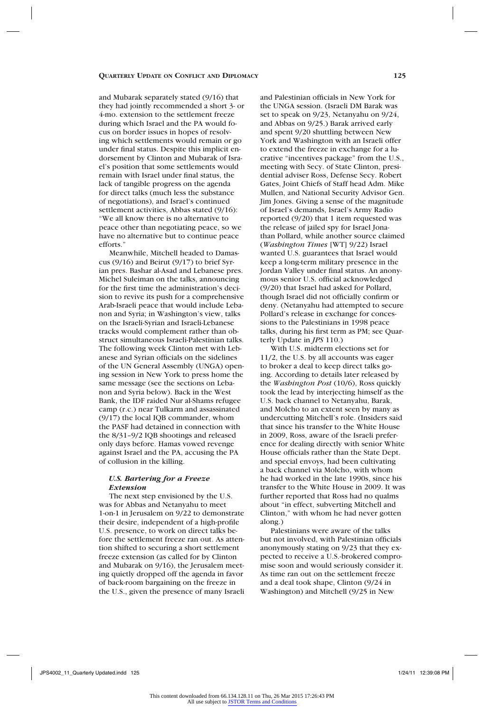and Mubarak separately stated (9/16) that they had jointly recommended a short 3- or 4-mo. extension to the settlement freeze during which Israel and the PA would focus on border issues in hopes of resolving which settlements would remain or go under final status. Despite this implicit endorsement by Clinton and Mubarak of Israel's position that some settlements would remain with Israel under final status, the lack of tangible progress on the agenda for direct talks (much less the substance of negotiations), and Israel's continued settlement activities, Abbas stated (9/16): "We all know there is no alternative to peace other than negotiating peace, so we have no alternative but to continue peace efforts."

Meanwhile, Mitchell headed to Damascus (9/16) and Beirut (9/17) to brief Syrian pres. Bashar al-Asad and Lebanese pres. Michel Suleiman on the talks, announcing for the first time the administration's decision to revive its push for a comprehensive Arab-Israeli peace that would include Lebanon and Syria; in Washington's view, talks on the Israeli-Syrian and Israeli-Lebanese tracks would complement rather than obstruct simultaneous Israeli-Palestinian talks. The following week Clinton met with Lebanese and Syrian officials on the sidelines of the UN General Assembly (UNGA) opening session in New York to press home the same message (see the sections on Lebanon and Syria below). Back in the West Bank, the IDF raided Nur al-Shams refugee camp (r.c.) near Tulkarm and assassinated (9/17) the local IQB commander, whom the PASF had detained in connection with the 8/31–9/2 IQB shootings and released only days before. Hamas vowed revenge against Israel and the PA, accusing the PA of collusion in the killing.

## *U.S. Bartering for a Freeze Extension*

The next step envisioned by the U.S. was for Abbas and Netanyahu to meet 1-on-1 in Jerusalem on 9/22 to demonstrate their desire, independent of a high-profile U.S. presence, to work on direct talks before the settlement freeze ran out. As attention shifted to securing a short settlement freeze extension (as called for by Clinton and Mubarak on 9/16), the Jerusalem meeting quietly dropped off the agenda in favor of back-room bargaining on the freeze in the U.S., given the presence of many Israeli

and Palestinian officials in New York for the UNGA session. (Israeli DM Barak was set to speak on 9/23, Netanyahu on 9/24, and Abbas on 9/25.) Barak arrived early and spent 9/20 shuttling between New York and Washington with an Israeli offer to extend the freeze in exchange for a lucrative "incentives package" from the U.S., meeting with Secy. of State Clinton, presidential adviser Ross, Defense Secy. Robert Gates, Joint Chiefs of Staff head Adm. Mike Mullen, and National Security Advisor Gen. Jim Jones. Giving a sense of the magnitude of Israel's demands, Israel's Army Radio reported (9/20) that 1 item requested was the release of jailed spy for Israel Jonathan Pollard, while another source claimed (*Washington Times* [WT] 9/22) Israel wanted U.S. guarantees that Israel would keep a long-term military presence in the Jordan Valley under final status. An anonymous senior U.S. official acknowledged (9/20) that Israel had asked for Pollard, though Israel did not officially confirm or deny. (Netanyahu had attempted to secure Pollard's release in exchange for concessions to the Palestinians in 1998 peace talks, during his first term as PM; see Quarterly Update in *JPS* 110.)

With U.S. midterm elections set for 11/2, the U.S. by all accounts was eager to broker a deal to keep direct talks going. According to details later released by the *Washington Post* (10/6), Ross quickly took the lead by interjecting himself as the U.S. back channel to Netanyahu, Barak, and Molcho to an extent seen by many as undercutting Mitchell's role. (Insiders said that since his transfer to the White House in 2009, Ross, aware of the Israeli preference for dealing directly with senior White House officials rather than the State Dept. and special envoys, had been cultivating a back channel via Molcho, with whom he had worked in the late 1990s, since his transfer to the White House in 2009. It was further reported that Ross had no qualms about "in effect, subverting Mitchell and Clinton," with whom he had never gotten along.)

Palestinians were aware of the talks but not involved, with Palestinian officials anonymously stating on 9/23 that they expected to receive a U.S.-brokered compromise soon and would seriously consider it. As time ran out on the settlement freeze and a deal took shape, Clinton (9/24 in Washington) and Mitchell (9/25 in New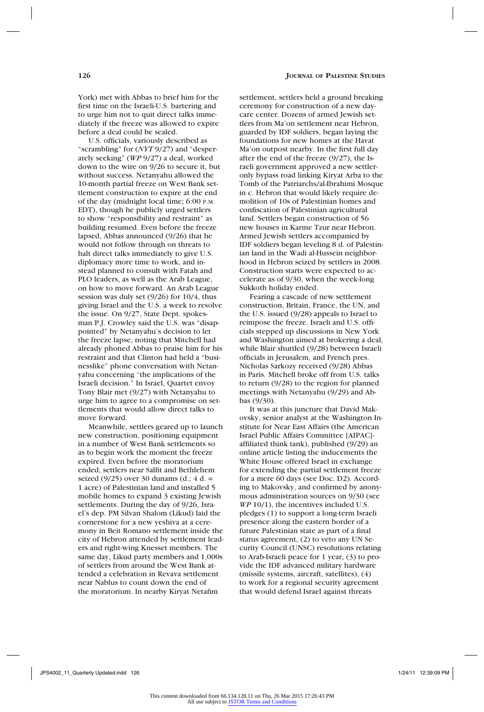York) met with Abbas to brief him for the first time on the Israeli-U.S. bartering and to urge him not to quit direct talks immediately if the freeze was allowed to expire before a deal could be sealed.

U.S. officials, variously described as "scrambling" for (*NYT* 9/27) and "desperately seeking" (*WP* 9/27) a deal, worked down to the wire on 9/26 to secure it, but without success. Netanyahu allowed the 10-month partial freeze on West Bank settlement construction to expire at the end of the day (midnight local time; 6:00 p.m. EDT), though he publicly urged settlers to show "responsibility and restraint" as building resumed. Even before the freeze lapsed, Abbas announced (9/26) that he would not follow through on threats to halt direct talks immediately to give U.S. diplomacy more time to work, and instead planned to consult with Fatah and PLO leaders, as well as the Arab League, on how to move forward. An Arab League session was duly set (9/26) for 10/4, thus giving Israel and the U.S. a week to resolve the issue. On 9/27, State Dept. spokesman P.J. Crowley said the U.S. was "disappointed" by Netanyahu's decision to let the freeze lapse, noting that Mitchell had already phoned Abbas to praise him for his restraint and that Clinton had held a "businesslike" phone conversation with Netanyahu concerning "the implications of the Israeli decision." In Israel, Quartet envoy Tony Blair met (9/27) with Netanyahu to urge him to agree to a compromise on settlements that would allow direct talks to move forward.

Meanwhile, settlers geared up to launch new construction, positioning equipment in a number of West Bank settlements so as to begin work the moment the freeze expired. Even before the moratorium ended, settlers near Salfit and Bethlehem seized (9/25) over 30 dunams (d.; 4 d. = 1 acre) of Palestinian land and installed 5 mobile homes to expand 3 existing Jewish settlements. During the day of 9/26, Israel's dep. PM Silvan Shalom (Likud) laid the cornerstone for a new yeshiva at a ceremony in Beit Romano settlement inside the city of Hebron attended by settlement leaders and right-wing Knesset members. The same day, Likud party members and 1,000s of settlers from around the West Bank attended a celebration in Revava settlement near Nablus to count down the end of the moratorium. In nearby Kiryat Netafim

settlement, settlers held a ground breaking ceremony for construction of a new daycare center. Dozens of armed Jewish settlers from Ma'on settlement near Hebron, guarded by IDF soldiers, began laying the foundations for new homes at the Havat Ma'on outpost nearby. In the first full day after the end of the freeze (9/27), the Israeli government approved a new settleronly bypass road linking Kiryat Arba to the Tomb of the Patriarchs/al-Ibrahimi Mosque in c. Hebron that would likely require demolition of 10s of Palestinian homes and confiscation of Palestinian agricultural land. Settlers began construction of 56 new houses in Karme Tzur near Hebron. Armed Jewish settlers accompanied by IDF soldiers began leveling 8 d. of Palestinian land in the Wadi al-Hussein neighborhood in Hebron seized by settlers in 2008. Construction starts were expected to accelerate as of 9/30, when the week-long Sukkoth holiday ended.

Fearing a cascade of new settlement construction, Britain, France, the UN, and the U.S. issued (9/28) appeals to Israel to reimpose the freeze. Israeli and U.S. officials stepped up discussions in New York and Washington aimed at brokering a deal, while Blair shuttled (9/28) between Israeli officials in Jerusalem, and French pres. Nicholas Sarkozy received (9/28) Abbas in Paris. Mitchell broke off from U.S. talks to return (9/28) to the region for planned meetings with Netanyahu (9/29) and Abbas (9/30).

It was at this juncture that David Makovsky, senior analyst at the Washington Institute for Near East Affairs (the American Israel Public Affairs Committee [AIPAC] affiliated think tank), published (9/29) an online article listing the inducements the White House offered Israel in exchange for extending the partial settlement freeze for a mere 60 days (see Doc. D2). According to Makovsky, and confirmed by anonymous administration sources on 9/30 (see *WP* 10/1), the incentives included U.S. pledges (1) to support a long-term Israeli presence along the eastern border of a future Palestinian state as part of a final status agreement, (2) to veto any UN Security Council (UNSC) resolutions relating to Arab-Israeli peace for 1 year, (3) to provide the IDF advanced military hardware (missile systems, aircraft, satellites), (4) to work for a regional security agreement that would defend Israel against threats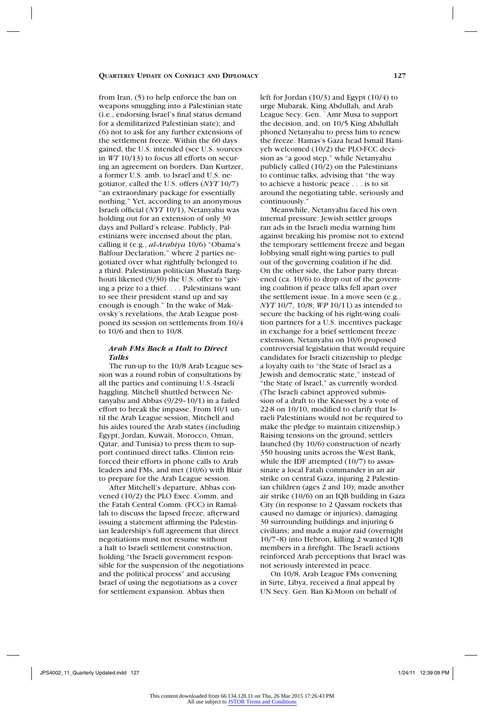from Iran, (5) to help enforce the ban on weapons smuggling into a Palestinian state (i.e., endorsing Israel's final status demand for a demilitarized Palestinian state); and (6) not to ask for any further extensions of the settlement freeze. Within the 60 days gained, the U.S. intended (see U.S. sources in *WT* 10/13) to focus all efforts on securing an agreement on borders. Dan Kurtzer, a former U.S. amb. to Israel and U.S. negotiator, called the U.S. offers (*NYT* 10/7) "an extraordinary package for essentially nothing." Yet, according to an anonymous Israeli official (*NYT* 10/1), Netanyahu was holding out for an extension of only 30 days and Pollard's release. Publicly, Palestinians were incensed about the plan, calling it (e.g., *al-Arabiya* 10/6) "Obama's Balfour Declaration," where 2 parties negotiated over what rightfully belonged to a third. Palestinian politician Mustafa Barghouti likened (9/30) the U.S. offer to "giving a prize to a thief. . . . Palestinians want to see their president stand up and say enough is enough." In the wake of Makovsky's revelations, the Arab League postponed its session on settlements from 10/4 to 10/6 and then to 10/8.

## *Arab FMs Back a Halt to Direct Talks*

The run-up to the 10/8 Arab League session was a round robin of consultations by all the parties and continuing U.S.-Israeli haggling. Mitchell shuttled between Netanyahu and Abbas (9/29–10/1) in a failed effort to break the impasse. From 10/1 until the Arab League session, Mitchell and his aides toured the Arab states (including Egypt, Jordan, Kuwait, Morocco, Oman, Qatar, and Tunisia) to press them to support continued direct talks. Clinton reinforced their efforts in phone calls to Arab leaders and FMs, and met (10/6) with Blair to prepare for the Arab League session.

After Mitchell's departure, Abbas convened (10/2) the PLO Exec. Comm. and the Fatah Central Comm. (FCC) in Ramallah to discuss the lapsed freeze, afterward issuing a statement affirming the Palestinian leadership's full agreement that direct negotiations must not resume without a halt to Israeli settlement construction, holding "the Israeli government responsible for the suspension of the negotiations and the political process" and accusing Israel of using the negotiations as a cover for settlement expansion. Abbas then

left for Jordan (10/3) and Egypt (10/4) to urge Mubarak, King Abdullah, and Arab League Secy. Gen. `Amr Musa to support the decision, and, on 10/5 King Abdullah phoned Netanyahu to press him to renew the freeze. Hamas's Gaza head Ismail Haniyeh welcomed (10/2) the PLO-FCC decision as "a good step," while Netanyahu publicly called (10/2) on the Palestinians to continue talks, advising that "the way to achieve a historic peace . . . is to sit around the negotiating table, seriously and continuously."

Meanwhile, Netanyahu faced his own internal pressure: Jewish settler groups ran ads in the Israeli media warning him against breaking his promise not to extend the temporary settlement freeze and began lobbying small right-wing parties to pull out of the governing coalition if he did. On the other side, the Labor party threatened (ca. 10/6) to drop out of the governing coalition if peace talks fell apart over the settlement issue. In a move seen (e.g., *NYT* 10/7, 10/8; *WP* 10/11) as intended to secure the backing of his right-wing coalition partners for a U.S. incentives package in exchange for a brief settlement freeze extension, Netanyahu on 10/6 proposed controversial legislation that would require candidates for Israeli citizenship to pledge a loyalty oath to "the State of Israel as a Jewish and democratic state," instead of "the State of Israel," as currently worded. (The Israeli cabinet approved submission of a draft to the Knesset by a vote of 22-8 on 10/10, modified to clarify that Israeli Palestinians would not be required to make the pledge to maintain citizenship.) Raising tensions on the ground, settlers launched (by 10/6) construction of nearly 350 housing units across the West Bank, while the IDF attempted (10/7) to assassinate a local Fatah commander in an air strike on central Gaza, injuring 2 Palestinian children (ages 2 and 10); made another air strike (10/6) on an IQB building in Gaza City (in response to 2 Qassam rockets that caused no damage or injuries), damaging 30 surrounding buildings and injuring 6 civilians; and made a major raid (overnight 10/7–8) into Hebron, killing 2 wanted IQB members in a firefight. The Israeli actions reinforced Arab perceptions that Israel was not seriously interested in peace.

On 10/8, Arab League FMs convening in Sirte, Libya, received a final appeal by UN Secy. Gen. Ban Ki-Moon on behalf of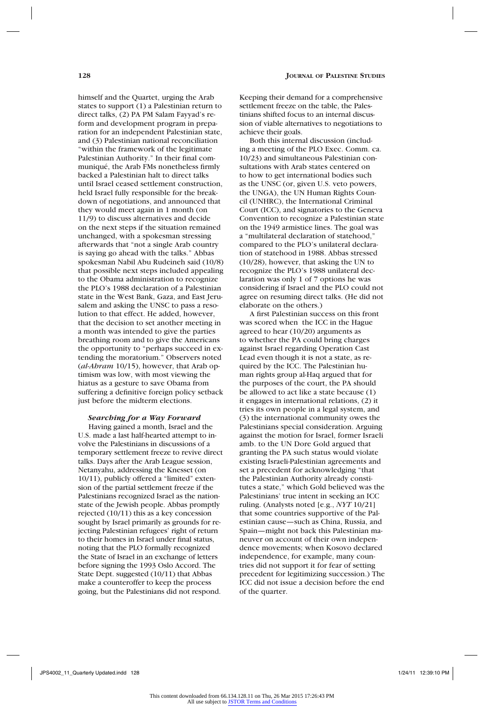himself and the Quartet, urging the Arab states to support (1) a Palestinian return to direct talks, (2) PA PM Salam Fayyad's reform and development program in preparation for an independent Palestinian state, and (3) Palestinian national reconciliation "within the framework of the legitimate Palestinian Authority." In their final communiqué, the Arab FMs nonetheless firmly backed a Palestinian halt to direct talks until Israel ceased settlement construction, held Israel fully responsible for the breakdown of negotiations, and announced that they would meet again in 1 month (on 11/9) to discuss alternatives and decide on the next steps if the situation remained unchanged, with a spokesman stressing afterwards that "not a single Arab country is saying go ahead with the talks." Abbas spokesman Nabil Abu Rudeineh said (10/8) that possible next steps included appealing to the Obama administration to recognize the PLO's 1988 declaration of a Palestinian state in the West Bank, Gaza, and East Jerusalem and asking the UNSC to pass a resolution to that effect. He added, however, that the decision to set another meeting in a month was intended to give the parties breathing room and to give the Americans the opportunity to "perhaps succeed in extending the moratorium." Observers noted (*al-Ahram* 10/15), however, that Arab optimism was low, with most viewing the hiatus as a gesture to save Obama from suffering a definitive foreign policy setback just before the midterm elections.

## *Searching for a Way Forward*

Having gained a month, Israel and the U.S. made a last half-hearted attempt to involve the Palestinians in discussions of a temporary settlement freeze to revive direct talks. Days after the Arab League session, Netanyahu, addressing the Knesset (on 10/11), publicly offered a "limited" extension of the partial settlement freeze if the Palestinians recognized Israel as the nationstate of the Jewish people. Abbas promptly rejected (10/11) this as a key concession sought by Israel primarily as grounds for rejecting Palestinian refugees' right of return to their homes in Israel under final status, noting that the PLO formally recognized the State of Israel in an exchange of letters before signing the 1993 Oslo Accord. The State Dept. suggested (10/11) that Abbas make a counteroffer to keep the process going, but the Palestinians did not respond.

Keeping their demand for a comprehensive settlement freeze on the table, the Palestinians shifted focus to an internal discussion of viable alternatives to negotiations to achieve their goals.

Both this internal discussion (including a meeting of the PLO Exec. Comm. ca. 10/23) and simultaneous Palestinian consultations with Arab states centered on to how to get international bodies such as the UNSC (or, given U.S. veto powers, the UNGA), the UN Human Rights Council (UNHRC), the International Criminal Court (ICC), and signatories to the Geneva Convention to recognize a Palestinian state on the 1949 armistice lines. The goal was a "multilateral declaration of statehood," compared to the PLO's unilateral declaration of statehood in 1988. Abbas stressed (10/28), however, that asking the UN to recognize the PLO's 1988 unilateral declaration was only 1 of 7 options he was considering if Israel and the PLO could not agree on resuming direct talks. (He did not elaborate on the others.)

A first Palestinian success on this front was scored when the ICC in the Hague agreed to hear (10/20) arguments as to whether the PA could bring charges against Israel regarding Operation Cast Lead even though it is not a state, as required by the ICC. The Palestinian human rights group al-Haq argued that for the purposes of the court, the PA should be allowed to act like a state because (1) it engages in international relations, (2) it tries its own people in a legal system, and (3) the international community owes the Palestinians special consideration. Arguing against the motion for Israel, former Israeli amb. to the UN Dore Gold argued that granting the PA such status would violate existing Israeli-Palestinian agreements and set a precedent for acknowledging "that the Palestinian Authority already constitutes a state," which Gold believed was the Palestinians' true intent in seeking an ICC ruling. (Analysts noted [e.g., *NYT* 10/21] that some countries supportive of the Palestinian cause—such as China, Russia, and Spain—might not back this Palestinian maneuver on account of their own independence movements; when Kosovo declared independence, for example, many countries did not support it for fear of setting precedent for legitimizing succession.) The ICC did not issue a decision before the end of the quarter.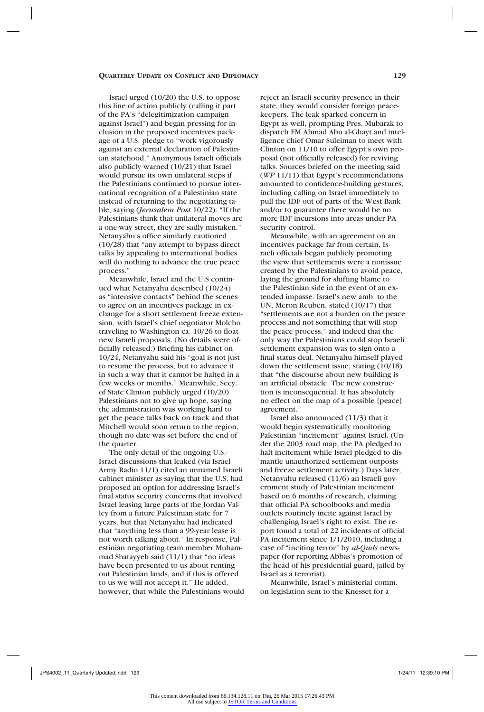Israel urged (10/20) the U.S. to oppose this line of action publicly (calling it part of the PA's "delegitimization campaign against Israel") and began pressing for inclusion in the proposed incentives package of a U.S. pledge to "work vigorously against an external declaration of Palestinian statehood." Anonymous Israeli officials also publicly warned (10/21) that Israel would pursue its own unilateral steps if the Palestinians continued to pursue international recognition of a Palestinian state instead of returning to the negotiating table, saying (*Jerusalem Post* 10/22): "If the Palestinians think that unilateral moves are a one-way street, they are sadly mistaken." Netanyahu's office similarly cautioned (10/28) that "any attempt to bypass direct talks by appealing to international bodies will do nothing to advance the true peace process."

Meanwhile, Israel and the U.S continued what Netanyahu described (10/24) as "intensive contacts" behind the scenes to agree on an incentives package in exchange for a short settlement freeze extension, with Israel's chief negotiator Molcho traveling to Washington ca. 10/26 to float new Israeli proposals. (No details were officially released.) Briefing his cabinet on 10/24, Netanyahu said his "goal is not just to resume the process, but to advance it in such a way that it cannot be halted in a few weeks or months." Meanwhile, Secy. of State Clinton publicly urged (10/20) Palestinians not to give up hope, saying the administration was working hard to get the peace talks back on track and that Mitchell would soon return to the region, though no date was set before the end of the quarter.

The only detail of the ongoing U.S.- Israel discussions that leaked (via Israel Army Radio 11/1) cited an unnamed Israeli cabinet minister as saying that the U.S. had proposed an option for addressing Israel's final status security concerns that involved Israel leasing large parts of the Jordan Valley from a future Palestinian state for 7 years, but that Netanyahu had indicated that "anything less than a 99-year lease is not worth talking about." In response, Palestinian negotiating team member Muhammad Shatayyeh said (11/1) that "no ideas have been presented to us about renting out Palestinian lands, and if this is offered to us we will not accept it." He added, however, that while the Palestinians would

reject an Israeli security presence in their state, they would consider foreign peacekeepers. The leak sparked concern in Egypt as well, prompting Pres. Mubarak to dispatch FM Ahmad Abu al-Ghayt and intelligence chief Omar Suleiman to meet with Clinton on 11/10 to offer Egypt's own proposal (not officially released) for reviving talks. Sources briefed on the meeting said (*WP* 11/11) that Egypt's recommendations amounted to confidence-building gestures, including calling on Israel immediately to pull the IDF out of parts of the West Bank and/or to guarantee there would be no more IDF incursions into areas under PA security control.

Meanwhile, with an agreement on an incentives package far from certain, Israeli officials began publicly promoting the view that settlements were a nonissue created by the Palestinians to avoid peace, laying the ground for shifting blame to the Palestinian side in the event of an extended impasse. Israel's new amb. to the UN, Meron Reuben, stated (10/17) that "settlements are not a burden on the peace process and not something that will stop the peace process," and indeed that the only way the Palestinians could stop Israeli settlement expansion was to sign onto a final status deal. Netanyahu himself played down the settlement issue, stating (10/18) that "the discourse about new building is an artificial obstacle. The new construction is inconsequential. It has absolutely no effect on the map of a possible [peace] agreement."

Israel also announced (11/3) that it would begin systematically monitoring Palestinian "incitement" against Israel. (Under the 2003 road map, the PA pledged to halt incitement while Israel pledged to dismantle unauthorized settlement outposts and freeze settlement activity.) Days later, Netanyahu released (11/6) an Israeli government study of Palestinian incitement based on 6 months of research, claiming that official PA schoolbooks and media outlets routinely incite against Israel by challenging Israel's right to exist. The report found a total of 22 incidents of official PA incitement since 1/1/2010, including a case of "inciting terror" by *al-Quds* newspaper (for reporting Abbas's promotion of the head of his presidential guard, jailed by Israel as a terrorist).

Meanwhile, Israel's ministerial comm. on legislation sent to the Knesset for a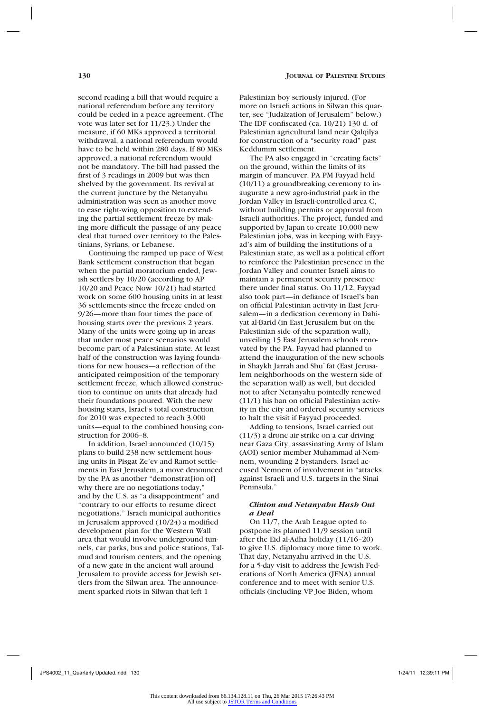second reading a bill that would require a national referendum before any territory could be ceded in a peace agreement. (The vote was later set for 11/23.) Under the measure, if 60 MKs approved a territorial withdrawal, a national referendum would have to be held within 280 days. If 80 MKs approved, a national referendum would not be mandatory. The bill had passed the first of 3 readings in 2009 but was then shelved by the government. Its revival at the current juncture by the Netanyahu administration was seen as another move to ease right-wing opposition to extending the partial settlement freeze by making more difficult the passage of any peace deal that turned over territory to the Pales-

tinians, Syrians, or Lebanese. Continuing the ramped up pace of West Bank settlement construction that began when the partial moratorium ended, Jewish settlers by 10/20 (according to AP 10/20 and Peace Now 10/21) had started work on some 600 housing units in at least 36 settlements since the freeze ended on 9/26—more than four times the pace of housing starts over the previous 2 years. Many of the units were going up in areas that under most peace scenarios would become part of a Palestinian state. At least half of the construction was laying foundations for new houses—a reflection of the anticipated reimposition of the temporary settlement freeze, which allowed construction to continue on units that already had their foundations poured. With the new housing starts, Israel's total construction for 2010 was expected to reach 3,000 units—equal to the combined housing construction for 2006–8.

In addition, Israel announced (10/15) plans to build 238 new settlement housing units in Pisgat Ze'ev and Ramot settlements in East Jerusalem, a move denounced by the PA as another "demonstrat[ion of] why there are no negotiations today," and by the U.S. as "a disappointment" and "contrary to our efforts to resume direct negotiations." Israeli municipal authorities in Jerusalem approved (10/24) a modified development plan for the Western Wall area that would involve underground tunnels, car parks, bus and police stations, Talmud and tourism centers, and the opening of a new gate in the ancient wall around Jerusalem to provide access for Jewish settlers from the Silwan area. The announcement sparked riots in Silwan that left 1

Palestinian boy seriously injured. (For more on Israeli actions in Silwan this quarter, see "Judaization of Jerusalem" below.) The IDF confiscated (ca. 10/21) 130 d. of Palestinian agricultural land near Qalqilya for construction of a "security road" past Keddumim settlement.

The PA also engaged in "creating facts" on the ground, within the limits of its margin of maneuver. PA PM Fayyad held (10/11) a groundbreaking ceremony to inaugurate a new agro-industrial park in the Jordan Valley in Israeli-controlled area C, without building permits or approval from Israeli authorities. The project, funded and supported by Japan to create 10,000 new Palestinian jobs, was in keeping with Fayyad's aim of building the institutions of a Palestinian state, as well as a political effort to reinforce the Palestinian presence in the Jordan Valley and counter Israeli aims to maintain a permanent security presence there under final status. On 11/12, Fayyad also took part—in defiance of Israel's ban on official Palestinian activity in East Jerusalem—in a dedication ceremony in Dahiyat al-Barid (in East Jerusalem but on the Palestinian side of the separation wall), unveiling 15 East Jerusalem schools renovated by the PA. Fayyad had planned to attend the inauguration of the new schools in Shaykh Jarrah and Shu`fat (East Jerusalem neighborhoods on the western side of the separation wall) as well, but decided not to after Netanyahu pointedly renewed (11/1) his ban on official Palestinian activity in the city and ordered security services to halt the visit if Fayyad proceeded.

Adding to tensions, Israel carried out (11/3) a drone air strike on a car driving near Gaza City, assassinating Army of Islam (AOI) senior member Muhammad al-Nemnem, wounding 2 bystanders. Israel accused Nemnem of involvement in "attacks against Israeli and U.S. targets in the Sinai Peninsula."

## *Clinton and Netanyahu Hash Out a Deal*

On 11/7, the Arab League opted to postpone its planned 11/9 session until after the Eid al-Adha holiday (11/16–20) to give U.S. diplomacy more time to work. That day, Netanyahu arrived in the U.S. for a 5-day visit to address the Jewish Federations of North America (JFNA) annual conference and to meet with senior U.S. officials (including VP Joe Biden, whom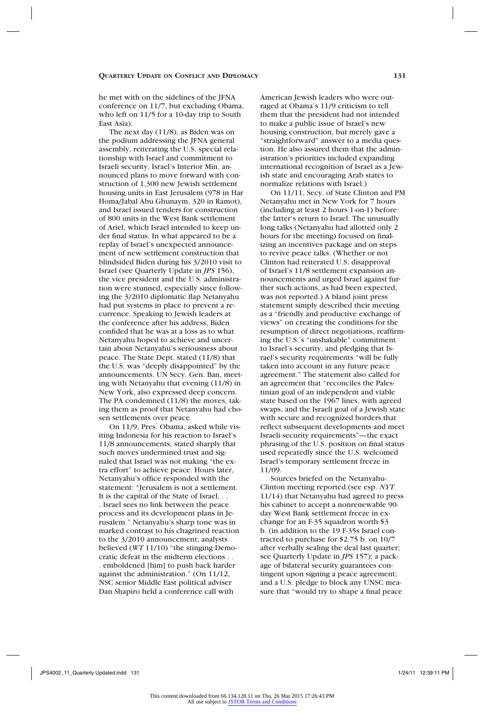he met with on the sidelines of the JFNA conference on 11/7, but excluding Obama, who left on 11/5 for a 10-day trip to South East Asia).

The next day (11/8), as Biden was on the podium addressing the JFNA general assembly, reiterating the U.S. special relationship with Israel and commitment to Israeli security, Israel's Interior Min. announced plans to move forward with construction of 1,300 new Jewish settlement housing units in East Jerusalem (978 in Har Homa/Jabal Abu Ghunaym, 320 in Ramot), and Israel issued tenders for construction of 800 units in the West Bank settlement of Ariel, which Israel intended to keep under final status. In what appeared to be a replay of Israel's unexpected announcement of new settlement construction that blindsided Biden during his 3/2010 visit to Israel (see Quarterly Update in *JPS* 156), the vice president and the U.S. administration were stunned, especially since following the 3/2010 diplomatic flap Netanyahu had put systems in place to prevent a recurrence. Speaking to Jewish leaders at the conference after his address, Biden confided that he was at a loss as to what Netanyahu hoped to achieve and uncertain about Netanyahu's seriousness about peace. The State Dept. stated (11/8) that the U.S. was "deeply disappointed" by the announcements. UN Secy. Gen. Ban, meeting with Netanyahu that evening (11/8) in New York, also expressed deep concern. The PA condemned (11/8) the moves, taking them as proof that Netanyahu had chosen settlements over peace.

On 11/9, Pres. Obama, asked while visiting Indonesia for his reaction to Israel's 11/8 announcements, stated sharply that such moves undermined trust and signaled that Israel was not making "the extra effort" to achieve peace. Hours later, Netanyahu's office responded with the statement: "Jerusalem is not a settlement. It is the capital of the State of Israel. . . . Israel sees no link between the peace process and its development plans in Jerusalem." Netanyahu's sharp tone was in marked contrast to his chagrined reaction to the 3/2010 announcement; analysts believed (*WT* 11/10) "the stinging Democratic defeat in the midterm elections . . . emboldened [him] to push back harder against the administration." (On 11/12, NSC senior Middle East political adviser Dan Shapiro held a conference call with

American Jewish leaders who were outraged at Obama's 11/9 criticism to tell them that the president had not intended to make a public issue of Israel's new housing construction, but merely gave a "straightforward" answer to a media question. He also assured them that the administration's priorities included expanding international recognition of Israel as a Jewish state and encouraging Arab states to normalize relations with Israel.)

On 11/11, Secy. of State Clinton and PM Netanyahu met in New York for 7 hours (including at least 2 hours 1-on-1) before the latter's return to Israel. The unusually long talks (Netanyahu had allotted only 2 hours for the meeting) focused on finalizing an incentives package and on steps to revive peace talks. (Whether or not Clinton had reiterated U.S. disapproval of Israel's 11/8 settlement expansion announcements and urged Israel against further such actions, as had been expected, was not reported.) A bland joint press statement simply described their meeting as a "friendly and productive exchange of views" on creating the conditions for the resumption of direct negotiations, reaffirming the U.S.'s "unshakable" commitment to Israel's security, and pledging that Israel's security requirements "will be fully taken into account in any future peace agreement." The statement also called for an agreement that "reconciles the Palestinian goal of an independent and viable state based on the 1967 lines, with agreed swaps, and the Israeli goal of a Jewish state with secure and recognized borders that reflect subsequent developments and meet Israeli security requirements"—the exact phrasing of the U.S. position on final status used repeatedly since the U.S. welcomed Israel's temporary settlement freeze in 11/09.

Sources briefed on the Netanyahu-Clinton meeting reported (see esp. *NYT* 11/14) that Netanyahu had agreed to press his cabinet to accept a nonrenewable 90 day West Bank settlement freeze in exchange for an F-35 squadron worth \$3 b. (in addition to the 19 F-35s Israel contracted to purchase for \$2.75 b. on 10/7 after verbally sealing the deal last quarter; see Quarterly Update in *JPS* 157); a package of bilateral security guarantees contingent upon signing a peace agreement; and a U.S. pledge to block any UNSC measure that "would try to shape a final peace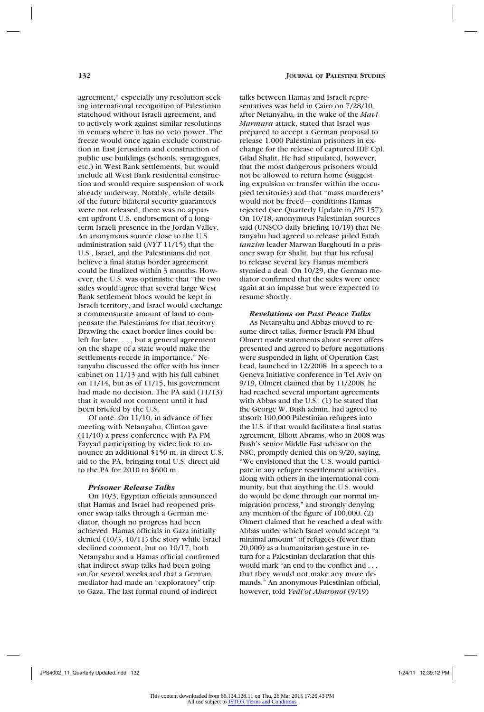agreement," especially any resolution seeking international recognition of Palestinian statehood without Israeli agreement, and to actively work against similar resolutions in venues where it has no veto power. The freeze would once again exclude construction in East Jerusalem and construction of public use buildings (schools, synagogues, etc.) in West Bank settlements, but would include all West Bank residential construction and would require suspension of work already underway. Notably, while details of the future bilateral security guarantees were not released, there was no apparent upfront U.S. endorsement of a longterm Israeli presence in the Jordan Valley. An anonymous source close to the U.S. administration said (*NYT* 11/15) that the U.S., Israel, and the Palestinians did not believe a final status border agreement could be finalized within 3 months. However, the U.S. was optimistic that "the two sides would agree that several large West Bank settlement blocs would be kept in Israeli territory, and Israel would exchange a commensurate amount of land to compensate the Palestinians for that territory. Drawing the exact border lines could be left for later. . . , but a general agreement on the shape of a state would make the settlements recede in importance." Netanyahu discussed the offer with his inner cabinet on 11/13 and with his full cabinet on 11/14, but as of 11/15, his government had made no decision. The PA said  $(11/13)$ that it would not comment until it had been briefed by the U.S.

Of note: On 11/10, in advance of her meeting with Netanyahu, Clinton gave (11/10) a press conference with PA PM Fayyad participating by video link to announce an additional \$150 m. in direct U.S. aid to the PA, bringing total U.S. direct aid to the PA for 2010 to \$600 m.

## *Prisoner Release Talks*

On 10/3, Egyptian officials announced that Hamas and Israel had reopened prisoner swap talks through a German mediator, though no progress had been achieved. Hamas officials in Gaza initially denied (10/3, 10/11) the story while Israel declined comment, but on 10/17, both Netanyahu and a Hamas official confirmed that indirect swap talks had been going on for several weeks and that a German mediator had made an "exploratory" trip to Gaza. The last formal round of indirect

talks between Hamas and Israeli representatives was held in Cairo on 7/28/10, after Netanyahu, in the wake of the *Mavi Marmara* attack, stated that Israel was prepared to accept a German proposal to release 1,000 Palestinian prisoners in exchange for the release of captured IDF Cpl. Gilad Shalit. He had stipulated, however, that the most dangerous prisoners would not be allowed to return home (suggesting expulsion or transfer within the occupied territories) and that "mass murderers" would not be freed—conditions Hamas rejected (see Quarterly Update in *JPS* 157). On 10/18, anonymous Palestinian sources said (UNSCO daily briefing 10/19) that Netanyahu had agreed to release jailed Fatah *tanzim* leader Marwan Barghouti in a prisoner swap for Shalit, but that his refusal to release several key Hamas members stymied a deal. On 10/29, the German mediator confirmed that the sides were once again at an impasse but were expected to resume shortly.

## *Revelations on Past Peace Talks*

As Netanyahu and Abbas moved to resume direct talks, former Israeli PM Ehud Olmert made statements about secret offers presented and agreed to before negotiations were suspended in light of Operation Cast Lead, launched in 12/2008. In a speech to a Geneva Initiative conference in Tel Aviv on 9/19, Olmert claimed that by 11/2008, he had reached several important agreements with Abbas and the U.S.: (1) he stated that the George W. Bush admin. had agreed to absorb 100,000 Palestinian refugees into the U.S. if that would facilitate a final status agreement. Elliott Abrams, who in 2008 was Bush's senior Middle East advisor on the NSC, promptly denied this on 9/20, saying, "We envisioned that the U.S. would participate in any refugee resettlement activities, along with others in the international community, but that anything the U.S. would do would be done through our normal immigration process," and strongly denying any mention of the figure of 100,000. (2) Olmert claimed that he reached a deal with Abbas under which Israel would accept "a minimal amount" of refugees (fewer than 20,000) as a humanitarian gesture in return for a Palestinian declaration that this would mark "an end to the conflict and . . . that they would not make any more demands." An anonymous Palestinian official, however, told *Yedi'ot Aharonot* (9/19)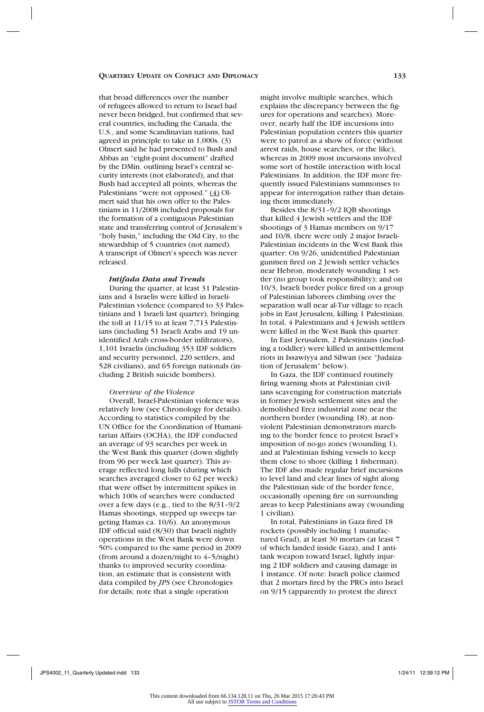that broad differences over the number of refugees allowed to return to Israel had never been bridged, but confirmed that several countries, including the Canada, the U.S., and some Scandinavian nations, had agreed in principle to take in 1,000s. (3) Olmert said he had presented to Bush and Abbas an "eight-point document" drafted by the DMin. outlining Israel's central security interests (not elaborated), and that Bush had accepted all points, whereas the Palestinians "were not opposed." (4) Olmert said that his own offer to the Palestinians in 11/2008 included proposals for the formation of a contiguous Palestinian state and transferring control of Jerusalem's "holy basin," including the Old City, to the stewardship of 5 countries (not named). A transcript of Olmert's speech was never released.

#### *Intifada Data and Trends*

During the quarter, at least 31 Palestinians and 4 Israelis were killed in Israeli-Palestinian violence (compared to 33 Palestinians and 1 Israeli last quarter), bringing the toll at 11/15 to at least 7,713 Palestinians (including 51 Israeli Arabs and 19 unidentified Arab cross-border infiltrators), 1,101 Israelis (including 353 IDF soldiers and security personnel, 220 settlers, and 528 civilians), and 65 foreign nationals (including 2 British suicide bombers).

#### *Overview of the Violence*

Overall, Israel-Palestinian violence was relatively low (see Chronology for details). According to statistics compiled by the UN Office for the Coordination of Humanitarian Affairs (OCHA), the IDF conducted an average of 93 searches per week in the West Bank this quarter (down slightly from 96 per week last quarter). This average reflected long lulls (during which searches averaged closer to 62 per week) that were offset by intermittent spikes in which 100s of searches were conducted over a few days (e.g., tied to the 8/31–9/2 Hamas shootings, stepped up sweeps targeting Hamas ca. 10/6). An anonymous IDF official said (8/30) that Israeli nightly operations in the West Bank were down 50% compared to the same period in 2009 (from around a dozen/night to 4–5/night) thanks to improved security coordination, an estimate that is consistent with data compiled by *JPS* (see Chronologies for details; note that a single operation

might involve multiple searches, which explains the discrepancy between the figures for operations and searches). Moreover, nearly half the IDF incursions into Palestinian population centers this quarter were to patrol as a show of force (without arrest raids, house searches, or the like), whereas in 2009 most incursions involved some sort of hostile interaction with local Palestinians. In addition, the IDF more frequently issued Palestinians summonses to appear for interrogation rather than detaining them immediately.

Besides the 8/31–9/2 IQB shootings that killed 4 Jewish settlers and the IDF shootings of 3 Hamas members on 9/17 and 10/8, there were only 2 major Israeli-Palestinian incidents in the West Bank this quarter: On 9/26, unidentified Palestinian gunmen fired on 2 Jewish settler vehicles near Hebron, moderately wounding 1 settler (no group took responsibility); and on 10/3, Israeli border police fired on a group of Palestinian laborers climbing over the separation wall near al-Tur village to reach jobs in East Jerusalem, killing 1 Palestinian. In total,  $4$  Palestinians and  $4$  Jewish settlers were killed in the West Bank this quarter.

In East Jerusalem, 2 Palestinians (including a toddler) were killed in antisettlement riots in Issawiyya and Silwan (see "Judaization of Jerusalem" below).

In Gaza, the IDF continued routinely firing warning shots at Palestinian civilians scavenging for construction materials in former Jewish settlement sites and the demolished Erez industrial zone near the northern border (wounding 18), at nonviolent Palestinian demonstrators marching to the border fence to protest Israel's imposition of no-go zones (wounding 1), and at Palestinian fishing vessels to keep them close to shore (killing 1 fisherman). The IDF also made regular brief incursions to level land and clear lines of sight along the Palestinian side of the border fence, occasionally opening fire on surrounding areas to keep Palestinians away (wounding 1 civilian).

In total, Palestinians in Gaza fired 18 rockets (possibly including 1 manufactured Grad), at least 30 mortars (at least 7 of which landed inside Gaza), and 1 antitank weapon toward Israel, lightly injuring 2 IDF soldiers and causing damage in 1 instance. Of note: Israeli police claimed that 2 mortars fired by the PRCs into Israel on 9/15 (apparently to protest the direct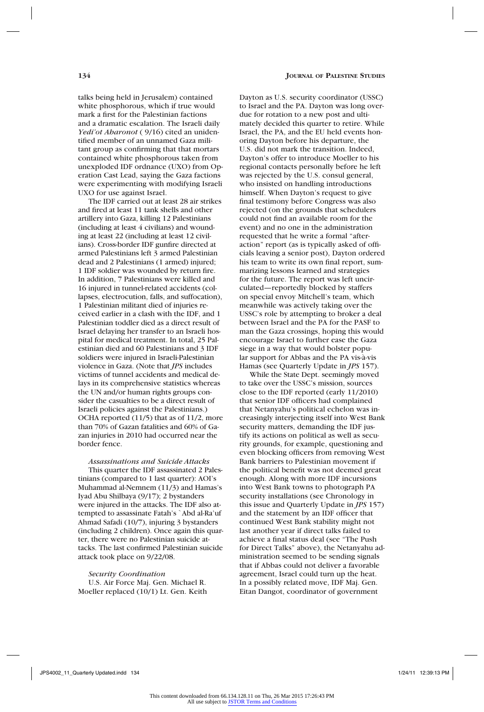talks being held in Jerusalem) contained white phosphorous, which if true would mark a first for the Palestinian factions and a dramatic escalation. The Israeli daily *Yedi'ot Aharonot* ( 9/16) cited an unidentified member of an unnamed Gaza militant group as confirming that that mortars contained white phosphorous taken from unexploded IDF ordnance (UXO) from Operation Cast Lead, saying the Gaza factions were experimenting with modifying Israeli UXO for use against Israel.

The IDF carried out at least 28 air strikes and fired at least 11 tank shells and other artillery into Gaza, killing 12 Palestinians (including at least 4 civilians) and wounding at least 22 (including at least 12 civilians). Cross-border IDF gunfire directed at armed Palestinians left 3 armed Palestinian dead and 2 Palestinians (1 armed) injured; 1 IDF soldier was wounded by return fire. In addition, 7 Palestinians were killed and 16 injured in tunnel-related accidents (collapses, electrocution, falls, and suffocation), 1 Palestinian militant died of injuries received earlier in a clash with the IDF, and 1 Palestinian toddler died as a direct result of Israel delaying her transfer to an Israeli hospital for medical treatment. In total, 25 Palestinian died and 60 Palestinians and 3 IDF soldiers were injured in Israeli-Palestinian violence in Gaza. (Note that *JPS* includes victims of tunnel accidents and medical delays in its comprehensive statistics whereas the UN and/or human rights groups consider the casualties to be a direct result of Israeli policies against the Palestinians.) OCHA reported (11/5) that as of 11/2, more than 70% of Gazan fatalities and 60% of Gazan injuries in 2010 had occurred near the border fence.

*Assassinations and Suicide Attacks* This quarter the IDF assassinated 2 Palestinians (compared to 1 last quarter): AOI's Muhammad al-Nemnem (11/3) and Hamas's

Iyad Abu Shilbaya (9/17); 2 bystanders were injured in the attacks. The IDF also attempted to assassinate Fatah's `Abd al-Ra'uf Ahmad Safadi (10/7), injuring 3 bystanders (including 2 children). Once again this quarter, there were no Palestinian suicide attacks. The last confirmed Palestinian suicide attack took place on 9/22/08.

*Security Coordination* U.S. Air Force Maj. Gen. Michael R. Moeller replaced (10/1) Lt. Gen. Keith Dayton as U.S. security coordinator (USSC) to Israel and the PA. Dayton was long overdue for rotation to a new post and ultimately decided this quarter to retire. While Israel, the PA, and the EU held events honoring Dayton before his departure, the U.S. did not mark the transition. Indeed, Dayton's offer to introduce Moeller to his regional contacts personally before he left was rejected by the U.S. consul general, who insisted on handling introductions himself. When Dayton's request to give final testimony before Congress was also rejected (on the grounds that schedulers could not find an available room for the event) and no one in the administration requested that he write a formal "afteraction" report (as is typically asked of officials leaving a senior post), Dayton ordered his team to write its own final report, summarizing lessons learned and strategies for the future. The report was left uncirculated—reportedly blocked by staffers on special envoy Mitchell's team, which meanwhile was actively taking over the USSC's role by attempting to broker a deal between Israel and the PA for the PASF to man the Gaza crossings, hoping this would encourage Israel to further ease the Gaza siege in a way that would bolster popular support for Abbas and the PA vis-à-vis Hamas (see Quarterly Update in *JPS* 157).

While the State Dept. seemingly moved to take over the USSC's mission, sources close to the IDF reported (early 11/2010) that senior IDF officers had complained that Netanyahu's political echelon was increasingly interjecting itself into West Bank security matters, demanding the IDF justify its actions on political as well as security grounds, for example, questioning and even blocking officers from removing West Bank barriers to Palestinian movement if the political benefit was not deemed great enough. Along with more IDF incursions into West Bank towns to photograph PA security installations (see Chronology in this issue and Quarterly Update in *JPS* 157) and the statement by an IDF officer that continued West Bank stability might not last another year if direct talks failed to achieve a final status deal (see "The Push for Direct Talks" above), the Netanyahu administration seemed to be sending signals that if Abbas could not deliver a favorable agreement, Israel could turn up the heat. In a possibly related move, IDF Maj. Gen. Eitan Dangot, coordinator of government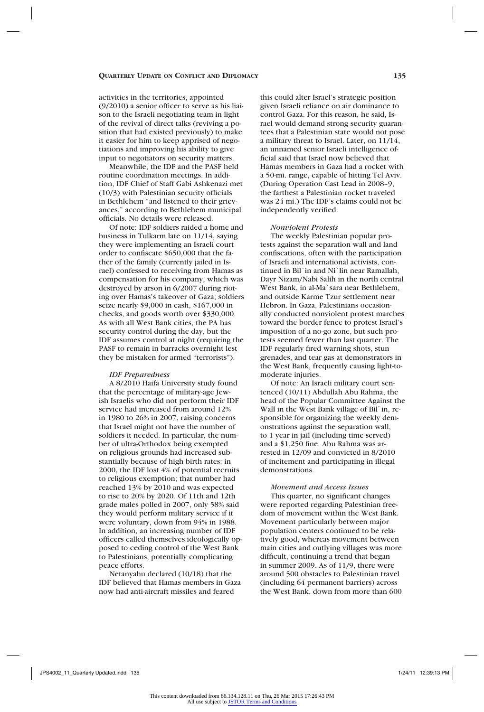activities in the territories, appointed (9/2010) a senior officer to serve as his liaison to the Israeli negotiating team in light of the revival of direct talks (reviving a position that had existed previously) to make it easier for him to keep apprised of negotiations and improving his ability to give input to negotiators on security matters.

Meanwhile, the IDF and the PASF held routine coordination meetings. In addition, IDF Chief of Staff Gabi Ashkenazi met (10/3) with Palestinian security officials in Bethlehem "and listened to their grievances," according to Bethlehem municipal officials. No details were released.

Of note: IDF soldiers raided a home and business in Tulkarm late on 11/14, saying they were implementing an Israeli court order to confiscate \$650,000 that the father of the family (currently jailed in Israel) confessed to receiving from Hamas as compensation for his company, which was destroyed by arson in 6/2007 during rioting over Hamas's takeover of Gaza; soldiers seize nearly \$9,000 in cash, \$167,000 in checks, and goods worth over \$330,000. As with all West Bank cities, the PA has security control during the day, but the IDF assumes control at night (requiring the PASF to remain in barracks overnight lest they be mistaken for armed "terrorists").

#### *IDF Preparedness*

A 8/2010 Haifa University study found that the percentage of military-age Jewish Israelis who did not perform their IDF service had increased from around 12% in 1980 to 26% in 2007, raising concerns that Israel might not have the number of soldiers it needed. In particular, the number of ultra-Orthodox being exempted on religious grounds had increased substantially because of high birth rates: in 2000, the IDF lost 4% of potential recruits to religious exemption; that number had reached 13% by 2010 and was expected to rise to 20% by 2020. Of 11th and 12th grade males polled in 2007, only 58% said they would perform military service if it were voluntary, down from 94% in 1988. In addition, an increasing number of IDF officers called themselves ideologically opposed to ceding control of the West Bank to Palestinians, potentially complicating peace efforts.

Netanyahu declared (10/18) that the IDF believed that Hamas members in Gaza now had anti-aircraft missiles and feared

this could alter Israel's strategic position given Israeli reliance on air dominance to control Gaza. For this reason, he said, Israel would demand strong security guarantees that a Palestinian state would not pose a military threat to Israel. Later, on 11/14, an unnamed senior Israeli intelligence official said that Israel now believed that Hamas members in Gaza had a rocket with a 50-mi. range, capable of hitting Tel Aviv. (During Operation Cast Lead in 2008–9, the farthest a Palestinian rocket traveled was 24 mi.) The IDF's claims could not be independently verified.

#### *Nonviolent Protests*

The weekly Palestinian popular protests against the separation wall and land confiscations, often with the participation of Israeli and international activists, continued in Bil`in and Ni`lin near Ramallah, Dayr Nizam/Nabi Salih in the north central West Bank, in al-Ma`sara near Bethlehem, and outside Karme Tzur settlement near Hebron. In Gaza, Palestinians occasionally conducted nonviolent protest marches toward the border fence to protest Israel's imposition of a no-go zone, but such protests seemed fewer than last quarter. The IDF regularly fired warning shots, stun grenades, and tear gas at demonstrators in the West Bank, frequently causing light-tomoderate injuries.

Of note: An Israeli military court sentenced (10/11) Abdullah Abu Rahma, the head of the Popular Committee Against the Wall in the West Bank village of Bil`in, responsible for organizing the weekly demonstrations against the separation wall, to 1 year in jail (including time served) and a \$1,250 fine. Abu Rahma was arrested in 12/09 and convicted in 8/2010 of incitement and participating in illegal demonstrations.

## *Movement and Access Issues*

This quarter, no significant changes were reported regarding Palestinian freedom of movement within the West Bank. Movement particularly between major population centers continued to be relatively good, whereas movement between main cities and outlying villages was more difficult, continuing a trend that began in summer 2009. As of 11/9, there were around 500 obstacles to Palestinian travel (including 64 permanent barriers) across the West Bank, down from more than 600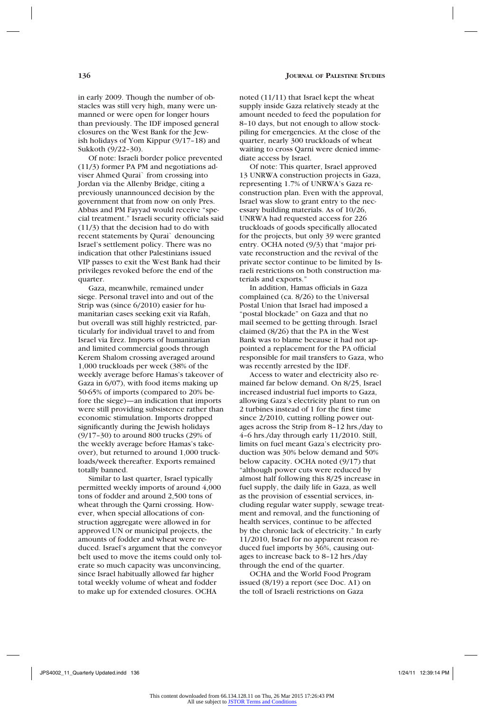amounts of fodder and wheat were reduced. Israel's argument that the conveyor belt used to move the items could only tolerate so much capacity was unconvincing, since Israel habitually allowed far higher total weekly volume of wheat and fodder to make up for extended closures. OCHA

Similar to last quarter, Israel typically permitted weekly imports of around 4,000 tons of fodder and around 2,500 tons of wheat through the Qarni crossing. However, when special allocations of construction aggregate were allowed in for approved UN or municipal projects, the

noted (11/11) that Israel kept the wheat supply inside Gaza relatively steady at the amount needed to feed the population for 8–10 days, but not enough to allow stockpiling for emergencies. At the close of the quarter, nearly 300 truckloads of wheat waiting to cross Qarni were denied immediate access by Israel.

Of note: This quarter, Israel approved 13 UNRWA construction projects in Gaza, representing 1.7% of UNRWA's Gaza reconstruction plan. Even with the approval, Israel was slow to grant entry to the necessary building materials. As of 10/26, UNRWA had requested access for 226 truckloads of goods specifically allocated for the projects, but only 39 were granted entry. OCHA noted (9/3) that "major private reconstruction and the revival of the private sector continue to be limited by Israeli restrictions on both construction materials and exports."

In addition, Hamas officials in Gaza complained (ca. 8/26) to the Universal Postal Union that Israel had imposed a "postal blockade" on Gaza and that no mail seemed to be getting through. Israel claimed (8/26) that the PA in the West Bank was to blame because it had not appointed a replacement for the PA official responsible for mail transfers to Gaza, who was recently arrested by the IDF.

Access to water and electricity also remained far below demand. On 8/25, Israel increased industrial fuel imports to Gaza, allowing Gaza's electricity plant to run on 2 turbines instead of 1 for the first time since 2/2010, cutting rolling power outages across the Strip from 8–12 hrs./day to 4–6 hrs./day through early 11/2010. Still, limits on fuel meant Gaza's electricity production was 30% below demand and 50% below capacity. OCHA noted (9/17) that "although power cuts were reduced by almost half following this 8/25 increase in fuel supply, the daily life in Gaza, as well as the provision of essential services, including regular water supply, sewage treatment and removal, and the functioning of health services, continue to be affected by the chronic lack of electricity." In early 11/2010, Israel for no apparent reason reduced fuel imports by 36%, causing outages to increase back to 8–12 hrs./day through the end of the quarter.

OCHA and the World Food Program issued (8/19) a report (see Doc. A1) on the toll of Israeli restrictions on Gaza

Sukkoth (9/22–30).

quarter.

totally banned.

in early 2009. Though the number of obstacles was still very high, many were unmanned or were open for longer hours than previously. The IDF imposed general closures on the West Bank for the Jewish holidays of Yom Kippur (9/17–18) and

Of note: Israeli border police prevented (11/3) former PA PM and negotiations adviser Ahmed Qurai` from crossing into Jordan via the Allenby Bridge, citing a previously unannounced decision by the government that from now on only Pres. Abbas and PM Fayyad would receive "special treatment." Israeli security officials said (11/3) that the decision had to do with recent statements by Qurai` denouncing Israel's settlement policy. There was no indication that other Palestinians issued VIP passes to exit the West Bank had their privileges revoked before the end of the

Gaza, meanwhile, remained under siege. Personal travel into and out of the Strip was (since 6/2010) easier for humanitarian cases seeking exit via Rafah, but overall was still highly restricted, particularly for individual travel to and from Israel via Erez. Imports of humanitarian and limited commercial goods through Kerem Shalom crossing averaged around 1,000 truckloads per week (38% of the weekly average before Hamas's takeover of Gaza in 6/07), with food items making up 50-65% of imports (compared to 20% before the siege)—an indication that imports were still providing subsistence rather than economic stimulation. Imports dropped significantly during the Jewish holidays (9/17–30) to around 800 trucks (29% of the weekly average before Hamas's takeover), but returned to around 1,000 truckloads/week thereafter. Exports remained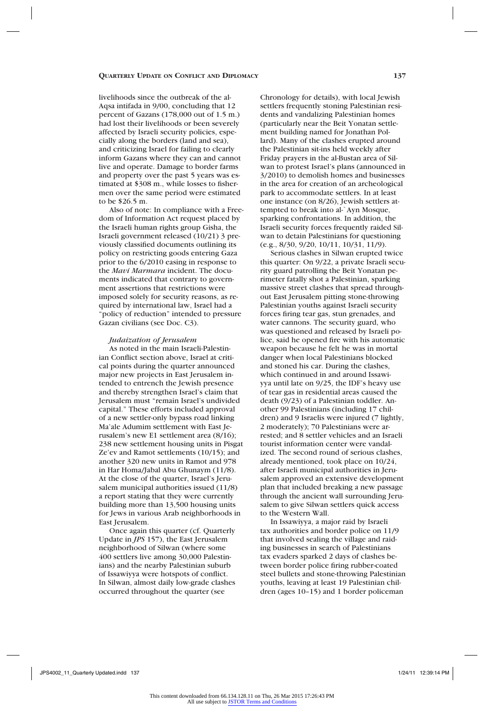livelihoods since the outbreak of the al-Aqsa intifada in 9/00, concluding that 12 percent of Gazans (178,000 out of 1.5 m.) had lost their livelihoods or been severely affected by Israeli security policies, especially along the borders (land and sea), and criticizing Israel for failing to clearly inform Gazans where they can and cannot live and operate. Damage to border farms and property over the past 5 years was estimated at \$308 m., while losses to fishermen over the same period were estimated to be \$26.5 m.

Also of note: In compliance with a Freedom of Information Act request placed by the Israeli human rights group Gisha, the Israeli government released (10/21) 3 previously classified documents outlining its policy on restricting goods entering Gaza prior to the 6/2010 easing in response to the *Mavi Marmara* incident. The documents indicated that contrary to government assertions that restrictions were imposed solely for security reasons, as required by international law, Israel had a "policy of reduction" intended to pressure Gazan civilians (see Doc. C3).

#### *Judaization of Jerusalem*

As noted in the main Israeli-Palestinian Conflict section above, Israel at critical points during the quarter announced major new projects in East Jerusalem intended to entrench the Jewish presence and thereby strengthen Israel's claim that Jerusalem must "remain Israel's undivided capital." These efforts included approval of a new settler-only bypass road linking Ma'ale Adumim settlement with East Jerusalem's new E1 settlement area (8/16); 238 new settlement housing units in Pisgat Ze'ev and Ramot settlements (10/15); and another 320 new units in Ramot and 978 in Har Homa/Jabal Abu Ghunaym (11/8). At the close of the quarter, Israel's Jerusalem municipal authorities issued (11/8) a report stating that they were currently building more than 13,500 housing units for Jews in various Arab neighborhoods in East Jerusalem.

Once again this quarter (cf. Quarterly Update in *JPS* 157), the East Jerusalem neighborhood of Silwan (where some 400 settlers live among 30,000 Palestinians) and the nearby Palestinian suburb of Issawiyya were hotspots of conflict. In Silwan, almost daily low-grade clashes occurred throughout the quarter (see

Chronology for details), with local Jewish settlers frequently stoning Palestinian residents and vandalizing Palestinian homes (particularly near the Beit Yonatan settlement building named for Jonathan Pollard). Many of the clashes erupted around the Palestinian sit-ins held weekly after Friday prayers in the al-Bustan area of Silwan to protest Israel's plans (announced in 3/2010) to demolish homes and businesses in the area for creation of an archeological park to accommodate settlers. In at least one instance (on 8/26), Jewish settlers attempted to break into al-`Ayn Mosque, sparking confrontations. In addition, the Israeli security forces frequently raided Silwan to detain Palestinians for questioning (e.g., 8/30, 9/20, 10/11, 10/31, 11/9).

Serious clashes in Silwan erupted twice this quarter: On 9/22, a private Israeli security guard patrolling the Beit Yonatan perimeter fatally shot a Palestinian, sparking massive street clashes that spread throughout East Jerusalem pitting stone-throwing Palestinian youths against Israeli security forces firing tear gas, stun grenades, and water cannons. The security guard, who was questioned and released by Israeli police, said he opened fire with his automatic weapon because he felt he was in mortal danger when local Palestinians blocked and stoned his car. During the clashes, which continued in and around Issawiyya until late on 9/25, the IDF's heavy use of tear gas in residential areas caused the death (9/23) of a Palestinian toddler. Another 99 Palestinians (including 17 children) and 9 Israelis were injured (7 lightly, 2 moderately); 70 Palestinians were arrested; and 8 settler vehicles and an Israeli tourist information center were vandalized. The second round of serious clashes, already mentioned, took place on 10/24, after Israeli municipal authorities in Jerusalem approved an extensive development plan that included breaking a new passage through the ancient wall surrounding Jerusalem to give Silwan settlers quick access to the Western Wall.

In Issawiyya, a major raid by Israeli tax authorities and border police on 11/9 that involved sealing the village and raiding businesses in search of Palestinians tax evaders sparked 2 days of clashes between border police firing rubber-coated steel bullets and stone-throwing Palestinian youths, leaving at least 19 Palestinian children (ages 10–15) and 1 border policeman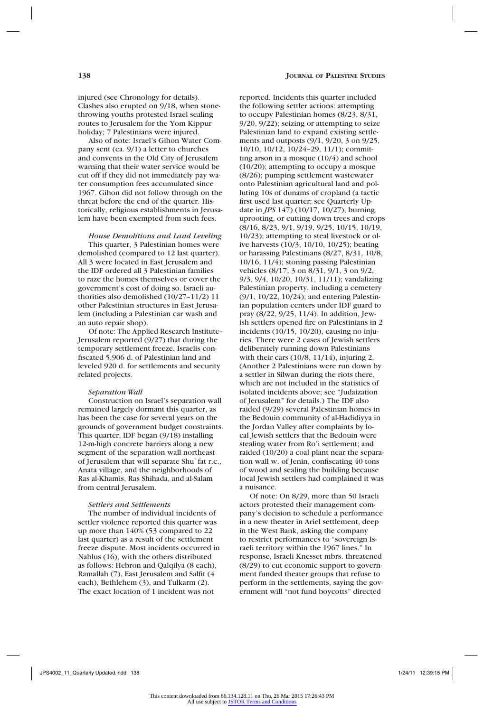injured (see Chronology for details). Clashes also erupted on 9/18, when stonethrowing youths protested Israel sealing routes to Jerusalem for the Yom Kippur holiday; 7 Palestinians were injured.

Also of note: Israel's Gihon Water Company sent (ca. 9/1) a letter to churches and convents in the Old City of Jerusalem warning that their water service would be cut off if they did not immediately pay water consumption fees accumulated since 1967. Gihon did not follow through on the threat before the end of the quarter. Historically, religious establishments in Jerusalem have been exempted from such fees.

## *House Demolitions and Land Leveling*

This quarter, 3 Palestinian homes were demolished (compared to 12 last quarter). All 3 were located in East Jerusalem and the IDF ordered all 3 Palestinian families to raze the homes themselves or cover the government's cost of doing so. Israeli authorities also demolished (10/27–11/2) 11 other Palestinian structures in East Jerusalem (including a Palestinian car wash and an auto repair shop).

Of note: The Applied Research Institute– Jerusalem reported (9/27) that during the temporary settlement freeze, Israelis confiscated 5,906 d. of Palestinian land and leveled 920 d. for settlements and security related projects.

#### *Separation Wall*

Construction on Israel's separation wall remained largely dormant this quarter, as has been the case for several years on the grounds of government budget constraints. This quarter, IDF began (9/18) installing 12-m-high concrete barriers along a new segment of the separation wall northeast of Jerusalem that will separate Shu`fat r.c., Anata village, and the neighborhoods of Ras al-Khamis, Ras Shihada, and al-Salam from central Jerusalem.

#### *Settlers and Settlements*

The number of individual incidents of settler violence reported this quarter was up more than 140% (53 compared to 22 last quarter) as a result of the settlement freeze dispute. Most incidents occurred in Nablus (16), with the others distributed as follows: Hebron and Qalqilya (8 each), Ramallah (7), East Jerusalem and Salfit (4 each), Bethlehem (3), and Tulkarm (2). The exact location of 1 incident was not

reported. Incidents this quarter included the following settler actions: attempting to occupy Palestinian homes (8/23, 8/31, 9/20, 9/22); seizing or attempting to seize Palestinian land to expand existing settlements and outposts (9/1, 9/20, 3 on 9/25, 10/10, 10/12, 10/24–29, 11/1); committing arson in a mosque (10/4) and school (10/20); attempting to occupy a mosque (8/26); pumping settlement wastewater onto Palestinian agricultural land and polluting 10s of dunams of cropland (a tactic first used last quarter; see Quarterly Update in *JPS* 147) (10/17, 10/27); burning, uprooting, or cutting down trees and crops (8/16, 8/23, 9/1, 9/19, 9/25, 10/15, 10/19, 10/23); attempting to steal livestock or olive harvests (10/3, 10/10, 10/25); beating or harassing Palestinians (8/27, 8/31, 10/8, 10/16, 11/4); stoning passing Palestinian vehicles (8/17, 3 on 8/31, 9/1, 3 on 9/2, 9/3, 9/4, 10/20, 10/31, 11/11); vandalizing Palestinian property, including a cemetery (9/1, 10/22, 10/24); and entering Palestinian population centers under IDF guard to pray (8/22, 9/25, 11/4). In addition, Jewish settlers opened fire on Palestinians in 2 incidents  $(10/15, 10/20)$ , causing no injuries. There were 2 cases of Jewish settlers deliberately running down Palestinians with their cars (10/8, 11/14), injuring 2. (Another 2 Palestinians were run down by a settler in Silwan during the riots there, which are not included in the statistics of isolated incidents above; see "Judaization of Jerusalem" for details.) The IDF also raided (9/29) several Palestinian homes in the Bedouin community of al-Hadidiyya in the Jordan Valley after complaints by local Jewish settlers that the Bedouin were stealing water from Ro'i settlement; and raided (10/20) a coal plant near the separation wall w. of Jenin, confiscating 40 tons of wood and sealing the building because

Of note: On 8/29, more than 50 Israeli actors protested their management company's decision to schedule a performance in a new theater in Ariel settlement, deep in the West Bank, asking the company to restrict performances to "sovereign Israeli territory within the 1967 lines." In response, Israeli Knesset mbrs. threatened (8/29) to cut economic support to government funded theater groups that refuse to perform in the settlements, saying the government will "not fund boycotts" directed

local Jewish settlers had complained it was

a nuisance.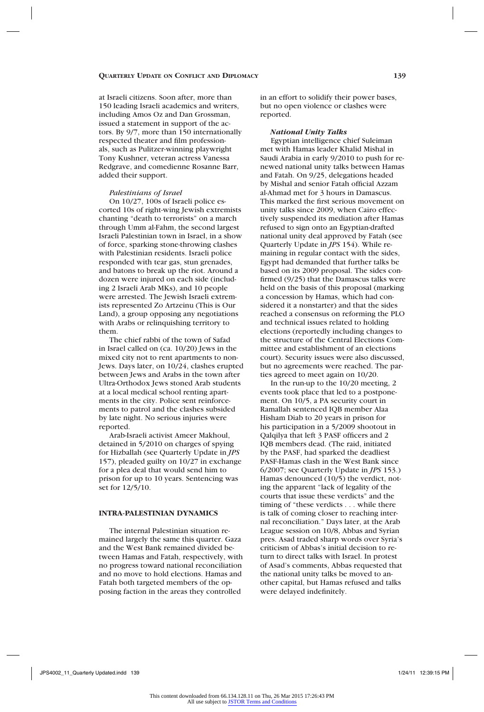at Israeli citizens. Soon after, more than 150 leading Israeli academics and writers, including Amos Oz and Dan Grossman, issued a statement in support of the actors. By 9/7, more than 150 internationally respected theater and film professionals, such as Pulitzer-winning playwright Tony Kushner, veteran actress Vanessa Redgrave, and comedienne Rosanne Barr, added their support.

## *Palestinians of Israel*

On 10/27, 100s of Israeli police escorted 10s of right-wing Jewish extremists chanting "death to terrorists" on a march through Umm al-Fahm, the second largest Israeli Palestinian town in Israel, in a show of force, sparking stone-throwing clashes with Palestinian residents. Israeli police responded with tear gas, stun grenades, and batons to break up the riot. Around a dozen were injured on each side (including 2 Israeli Arab MKs), and 10 people were arrested. The Jewish Israeli extremists represented Zo Artzeinu (This is Our Land), a group opposing any negotiations with Arabs or relinquishing territory to them.

The chief rabbi of the town of Safad in Israel called on (ca. 10/20) Jews in the mixed city not to rent apartments to non-Jews. Days later, on 10/24, clashes erupted between Jews and Arabs in the town after Ultra-Orthodox Jews stoned Arab students at a local medical school renting apartments in the city. Police sent reinforcements to patrol and the clashes subsided by late night. No serious injuries were reported.

Arab-Israeli activist Ameer Makhoul, detained in 5/2010 on charges of spying for Hizballah (see Quarterly Update in *JPS* 157), pleaded guilty on 10/27 in exchange for a plea deal that would send him to prison for up to 10 years. Sentencing was set for  $12/5/10$ .

## **Intra-Palestinian Dynamics**

The internal Palestinian situation remained largely the same this quarter. Gaza and the West Bank remained divided between Hamas and Fatah, respectively, with no progress toward national reconciliation and no move to hold elections. Hamas and Fatah both targeted members of the opposing faction in the areas they controlled

in an effort to solidify their power bases, but no open violence or clashes were reported.

#### *National Unity Talks*

Egyptian intelligence chief Suleiman met with Hamas leader Khalid Mishal in Saudi Arabia in early 9/2010 to push for renewed national unity talks between Hamas and Fatah. On 9/25, delegations headed by Mishal and senior Fatah official Azzam al-Ahmad met for 3 hours in Damascus. This marked the first serious movement on unity talks since 2009, when Cairo effectively suspended its mediation after Hamas refused to sign onto an Egyptian-drafted national unity deal approved by Fatah (see Quarterly Update in *JPS* 154). While remaining in regular contact with the sides, Egypt had demanded that further talks be based on its 2009 proposal. The sides confirmed (9/25) that the Damascus talks were held on the basis of this proposal (marking a concession by Hamas, which had considered it a nonstarter) and that the sides reached a consensus on reforming the PLO and technical issues related to holding elections (reportedly including changes to the structure of the Central Elections Committee and establishment of an elections court). Security issues were also discussed, but no agreements were reached. The parties agreed to meet again on 10/20.

In the run-up to the 10/20 meeting, 2 events took place that led to a postponement. On 10/5, a PA security court in Ramallah sentenced IQB member Alaa Hisham Diab to 20 years in prison for his participation in a 5/2009 shootout in Qalqilya that left 3 PASF officers and 2 IQB members dead. (The raid, initiated by the PASF, had sparked the deadliest PASF-Hamas clash in the West Bank since 6/2007; see Quarterly Update in *JPS* 153.) Hamas denounced (10/5) the verdict, noting the apparent "lack of legality of the courts that issue these verdicts" and the timing of "these verdicts . . . while there is talk of coming closer to reaching internal reconciliation." Days later, at the Arab League session on 10/8, Abbas and Syrian pres. Asad traded sharp words over Syria's criticism of Abbas's initial decision to return to direct talks with Israel. In protest of Asad's comments, Abbas requested that the national unity talks be moved to another capital, but Hamas refused and talks were delayed indefinitely.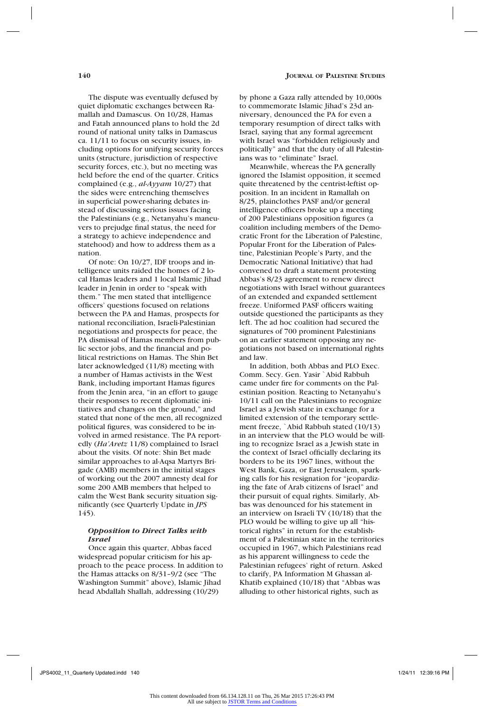The dispute was eventually defused by quiet diplomatic exchanges between Ramallah and Damascus. On 10/28, Hamas and Fatah announced plans to hold the 2d round of national unity talks in Damascus ca. 11/11 to focus on security issues, including options for unifying security forces units (structure, jurisdiction of respective security forces, etc.), but no meeting was held before the end of the quarter. Critics complained (e.g., *al-Ayyam* 10/27) that the sides were entrenching themselves in superficial power-sharing debates instead of discussing serious issues facing the Palestinians (e.g., Netanyahu's maneuvers to prejudge final status, the need for a strategy to achieve independence and statehood) and how to address them as a nation.

Of note: On 10/27, IDF troops and intelligence units raided the homes of 2 local Hamas leaders and 1 local Islamic Jihad leader in Jenin in order to "speak with them." The men stated that intelligence officers' questions focused on relations between the PA and Hamas, prospects for national reconciliation, Israeli-Palestinian negotiations and prospects for peace, the PA dismissal of Hamas members from public sector jobs, and the financial and political restrictions on Hamas. The Shin Bet later acknowledged (11/8) meeting with a number of Hamas activists in the West Bank, including important Hamas figures from the Jenin area, "in an effort to gauge their responses to recent diplomatic initiatives and changes on the ground," and stated that none of the men, all recognized political figures, was considered to be involved in armed resistance. The PA reportedly (*Ha'Aretz* 11/8) complained to Israel about the visits. Of note: Shin Bet made similar approaches to al-Aqsa Martyrs Brigade (AMB) members in the initial stages of working out the 2007 amnesty deal for some 200 AMB members that helped to calm the West Bank security situation significantly (see Quarterly Update in *JPS* 145).

## *Opposition to Direct Talks with Israel*

Once again this quarter, Abbas faced widespread popular criticism for his approach to the peace process. In addition to the Hamas attacks on 8/31–9/2 (see "The Washington Summit" above), Islamic Jihad head Abdallah Shallah, addressing (10/29)

by phone a Gaza rally attended by 10,000s to commemorate Islamic Jihad's 23d anniversary, denounced the PA for even a temporary resumption of direct talks with Israel, saying that any formal agreement with Israel was "forbidden religiously and politically" and that the duty of all Palestinians was to "eliminate" Israel.

Meanwhile, whereas the PA generally ignored the Islamist opposition, it seemed quite threatened by the centrist-leftist opposition. In an incident in Ramallah on 8/25, plainclothes PASF and/or general intelligence officers broke up a meeting of 200 Palestinians opposition figures (a coalition including members of the Democratic Front for the Liberation of Palestine, Popular Front for the Liberation of Palestine, Palestinian People's Party, and the Democratic National Initiative) that had convened to draft a statement protesting Abbas's 8/23 agreement to renew direct negotiations with Israel without guarantees of an extended and expanded settlement freeze. Uniformed PASF officers waiting outside questioned the participants as they left. The ad hoc coalition had secured the signatures of 700 prominent Palestinians on an earlier statement opposing any negotiations not based on international rights and law.

In addition, both Abbas and PLO Exec. Comm. Secy. Gen. Yasir `Abid Rabbuh came under fire for comments on the Palestinian position. Reacting to Netanyahu's 10/11 call on the Palestinians to recognize Israel as a Jewish state in exchange for a limited extension of the temporary settlement freeze, `Abid Rabbuh stated (10/13) in an interview that the PLO would be willing to recognize Israel as a Jewish state in the context of Israel officially declaring its borders to be its 1967 lines, without the West Bank, Gaza, or East Jerusalem, sparking calls for his resignation for "jeopardizing the fate of Arab citizens of Israel" and their pursuit of equal rights. Similarly, Abbas was denounced for his statement in an interview on Israeli TV (10/18) that the PLO would be willing to give up all "historical rights" in return for the establishment of a Palestinian state in the territories occupied in 1967, which Palestinians read as his apparent willingness to cede the Palestinian refugees' right of return. Asked to clarify, PA Information M Ghassan al-Khatib explained (10/18) that "Abbas was alluding to other historical rights, such as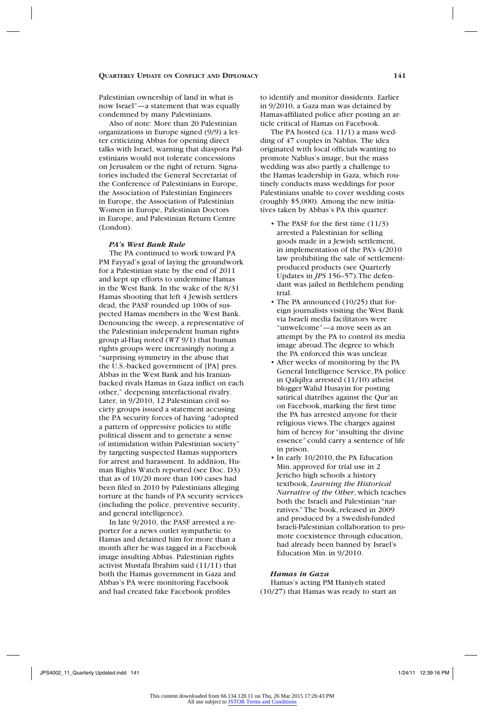Palestinian ownership of land in what is now Israel"—a statement that was equally condemned by many Palestinians.

Also of note: More than 20 Palestinian organizations in Europe signed (9/9) a letter criticizing Abbas for opening direct talks with Israel, warning that diaspora Palestinians would not tolerate concessions on Jerusalem or the right of return. Signatories included the General Secretariat of the Conference of Palestinians in Europe, the Association of Palestinian Engineers in Europe, the Association of Palestinian Women in Europe, Palestinian Doctors in Europe, and Palestinian Return Centre (London).

#### *PA's West Bank Rule*

The PA continued to work toward PA PM Fayyad's goal of laying the groundwork for a Palestinian state by the end of 2011 and kept up efforts to undermine Hamas in the West Bank. In the wake of the 8/31 Hamas shooting that left 4 Jewish settlers dead, the PASF rounded up 100s of suspected Hamas members in the West Bank. Denouncing the sweep, a representative of the Palestinian independent human rights group al-Haq noted (*WT* 9/1) that human rights groups were increasingly noting a "surprising symmetry in the abuse that the U.S.-backed government of [PA] pres. Abbas in the West Bank and his Iranianbacked rivals Hamas in Gaza inflict on each other," deepening interfactional rivalry. Later, in 9/2010, 12 Palestinian civil society groups issued a statement accusing the PA security forces of having "adopted a pattern of oppressive policies to stifle political dissent and to generate a sense of intimidation within Palestinian society" by targeting suspected Hamas supporters for arrest and harassment. In addition, Human Rights Watch reported (see Doc. D3) that as of 10/20 more than 100 cases had been filed in 2010 by Palestinians alleging torture at the hands of PA security services (including the police, preventive security, and general intelligence).

In late 9/2010, the PASF arrested a reporter for a news outlet sympathetic to Hamas and detained him for more than a month after he was tagged in a Facebook image insulting Abbas. Palestinian rights activist Mustafa Ibrahim said (11/11) that both the Hamas government in Gaza and Abbas's PA were monitoring Facebook and had created fake Facebook profiles

to identify and monitor dissidents. Earlier in 9/2010, a Gaza man was detained by Hamas-affiliated police after posting an article critical of Hamas on Facebook.

The PA hosted (ca. 11/1) a mass wedding of 47 couples in Nablus. The idea originated with local officials wanting to promote Nablus's image, but the mass wedding was also partly a challenge to the Hamas leadership in Gaza, which routinely conducts mass weddings for poor Palestinians unable to cover wedding costs (roughly \$5,000). Among the new initiatives taken by Abbas's PA this quarter:

- The PASF for the first time (11/3) arrested a Palestinian for selling goods made in a Jewish settlement, in implementation of the PA's 4/2010 law prohibiting the sale of settlementproduced products (see Quarterly Updates in *JPS* 156–57). The defendant was jailed in Bethlehem pending trial.
- The PA announced (10/25) that foreign journalists visiting the West Bank via Israeli media facilitators were "unwelcome"—a move seen as an attempt by the PA to control its media image abroad. The degree to which the PA enforced this was unclear.
- After weeks of monitoring by the PA General Intelligence Service, PA police in Qalqilya arrested (11/10) atheist blogger Walid Husayin for posting satirical diatribes against the Qur'an on Facebook, marking the first time the PA has arrested anyone for their religious views. The charges against him of heresy for "insulting the divine essence" could carry a sentence of life in prison.
- In early 10/2010, the PA Education Min. approved for trial use in 2 Jericho high schools a history textbook, *Learning the Historical Narrative of the Other*, which teaches both the Israeli and Palestinian "narratives." The book, released in 2009 and produced by a Swedish-funded Israeli-Palestinian collaboration to promote coexistence through education, had already been banned by Israel's Education Min. in 9/2010.

## *Hamas in Gaza*

Hamas's acting PM Haniyeh stated (10/27) that Hamas was ready to start an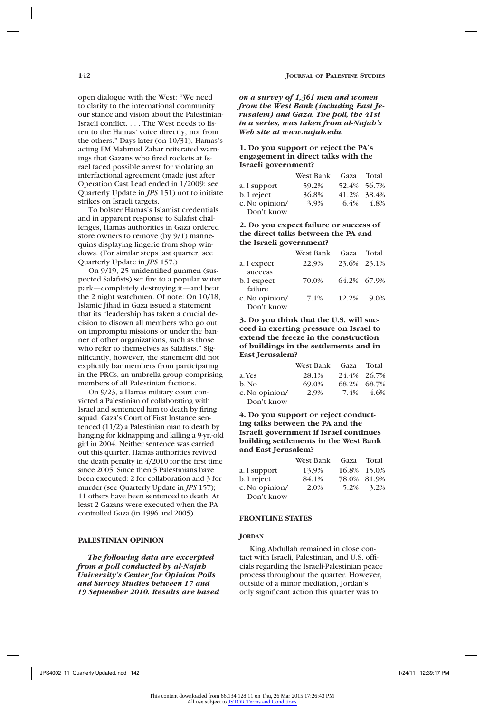open dialogue with the West: "We need to clarify to the international community our stance and vision about the Palestinian-Israeli conflict. . . . The West needs to listen to the Hamas' voice directly, not from the others." Days later (on  $10/31$ ), Hamas's acting FM Mahmud Zahar reiterated warnings that Gazans who fired rockets at Israel faced possible arrest for violating an interfactional agreement (made just after Operation Cast Lead ended in 1/2009; see Quarterly Update in *JPS* 151) not to initiate strikes on Israeli targets.

To bolster Hamas's Islamist credentials and in apparent response to Salafist challenges, Hamas authorities in Gaza ordered store owners to remove (by 9/1) mannequins displaying lingerie from shop windows. (For similar steps last quarter, see Quarterly Update in *JPS* 157.)

On 9/19, 25 unidentified gunmen (suspected Salafists) set fire to a popular water park—completely destroying it—and beat the 2 night watchmen. Of note: On 10/18, Islamic Jihad in Gaza issued a statement that its "leadership has taken a crucial decision to disown all members who go out on impromptu missions or under the banner of other organizations, such as those who refer to themselves as Salafists." Significantly, however, the statement did not explicitly bar members from participating in the PRCs, an umbrella group comprising members of all Palestinian factions.

On 9/23, a Hamas military court convicted a Palestinian of collaborating with Israel and sentenced him to death by firing squad. Gaza's Court of First Instance sentenced (11/2) a Palestinian man to death by hanging for kidnapping and killing a 9-yr.-old girl in 2004. Neither sentence was carried out this quarter. Hamas authorities revived the death penalty in 4/2010 for the first time since 2005. Since then 5 Palestinians have been executed: 2 for collaboration and 3 for murder (see Quarterly Update in *JPS* 157); 11 others have been sentenced to death. At least 2 Gazans were executed when the PA controlled Gaza (in 1996 and 2005).

## **Palestinian Opinion**

*The following data are excerpted from a poll conducted by al-Najah University's Center for Opinion Polls and Survey Studies between 17 and 19 September 2010. Results are based* 

*on a survey of 1,361 men and women from the West Bank (including East Jerusalem) and Gaza. The poll, the 41st in a series, was taken from al-Najah's Web site at www.najah.edu.*

## **1. Do you support or reject the PA's engagement in direct talks with the Israeli government?**

|                | West Bank | Gaza | Total       |
|----------------|-----------|------|-------------|
| a. I support   | 59.2%     |      | 52.4% 56.7% |
| b. I reject    | 36.8%     |      | 41.2% 38.4% |
| c. No opinion/ | 3.9%      | 6.4% | 4.8%        |
| Don't know     |           |      |             |

## **2. Do you expect failure or success of the direct talks between the PA and the Israeli government?**

|                | West Bank | Gaza  | Total       |
|----------------|-----------|-------|-------------|
| a. I expect    | 22.9%     |       | 23.6% 23.1% |
| success        |           |       |             |
| b. I expect    | 70.0%     |       | 64.2% 67.9% |
| failure        |           |       |             |
| c. No opinion/ | 7.1%      | 12.2% | $9.0\%$     |
| Don't know     |           |       |             |

**3. Do you think that the U.S. will succeed in exerting pressure on Israel to extend the freeze in the construction of buildings in the settlements and in East Jerusalem?**

|                | West Bank Gaza Total |      |             |
|----------------|----------------------|------|-------------|
| a. Yes         | 28.1%                |      | 24.4% 26.7% |
| b. No          | 69.0%                |      | 68.2% 68.7% |
| c. No opinion/ | 2.9%                 | 7.4% | 4.6%        |
| Don't know     |                      |      |             |

**4. Do you support or reject conducting talks between the PA and the Israeli government if Israel continues building settlements in the West Bank and East Jerusalem?**

|                | West Bank | Gaza | Total       |
|----------------|-----------|------|-------------|
| a. I support   | 13.9%     |      | 16.8% 15.0% |
| b. I reject    | 84.1%     |      | 78.0% 81.9% |
| c. No opinion/ | 2.0%      |      | 5.2\% 3.2\% |
| Don't know     |           |      |             |

## **FRONTLINE STATES**

#### JORDAN

King Abdullah remained in close contact with Israeli, Palestinian, and U.S. officials regarding the Israeli-Palestinian peace process throughout the quarter. However, outside of a minor mediation, Jordan's only significant action this quarter was to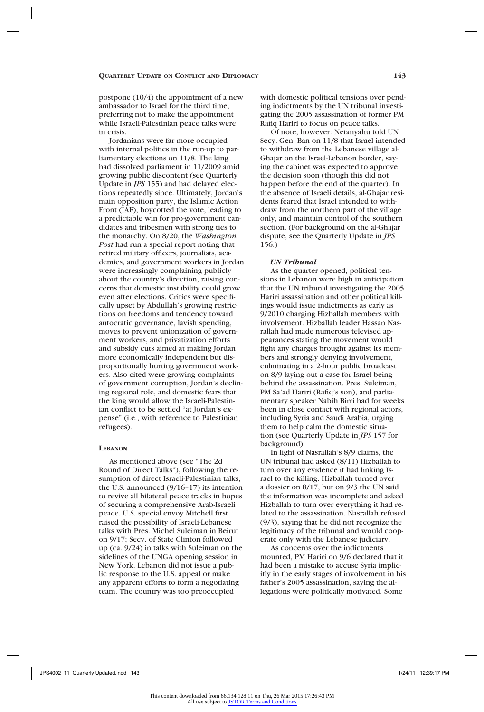postpone (10/4) the appointment of a new ambassador to Israel for the third time, preferring not to make the appointment while Israeli-Palestinian peace talks were in crisis.

Jordanians were far more occupied with internal politics in the run-up to parliamentary elections on 11/8. The king had dissolved parliament in 11/2009 amid growing public discontent (see Quarterly Update in *JPS* 155) and had delayed elections repeatedly since. Ultimately, Jordan's main opposition party, the Islamic Action Front (IAF), boycotted the vote, leading to a predictable win for pro-government candidates and tribesmen with strong ties to the monarchy. On 8/20, the *Washington Post* had run a special report noting that retired military officers, journalists, academics, and government workers in Jordan were increasingly complaining publicly about the country's direction, raising concerns that domestic instability could grow even after elections. Critics were specifically upset by Abdullah's growing restrictions on freedoms and tendency toward autocratic governance, lavish spending, moves to prevent unionization of government workers, and privatization efforts and subsidy cuts aimed at making Jordan more economically independent but disproportionally hurting government workers. Also cited were growing complaints of government corruption, Jordan's declining regional role, and domestic fears that the king would allow the Israeli-Palestinian conflict to be settled "at Jordan's expense" (i.e., with reference to Palestinian refugees).

#### **Lebanon**

As mentioned above (see "The 2d Round of Direct Talks"), following the resumption of direct Israeli-Palestinian talks, the U.S. announced (9/16–17) its intention to revive all bilateral peace tracks in hopes of securing a comprehensive Arab-Israeli peace. U.S. special envoy Mitchell first raised the possibility of Israeli-Lebanese talks with Pres. Michel Suleiman in Beirut on 9/17; Secy. of State Clinton followed up (ca. 9/24) in talks with Suleiman on the sidelines of the UNGA opening session in New York. Lebanon did not issue a public response to the U.S. appeal or make any apparent efforts to form a negotiating team. The country was too preoccupied

with domestic political tensions over pending indictments by the UN tribunal investigating the 2005 assassination of former PM Rafiq Hariri to focus on peace talks.

Of note, however: Netanyahu told UN Secy.-Gen. Ban on 11/8 that Israel intended to withdraw from the Lebanese village al-Ghajar on the Israel-Lebanon border, saying the cabinet was expected to approve the decision soon (though this did not happen before the end of the quarter). In the absence of Israeli details, al-Ghajar residents feared that Israel intended to withdraw from the northern part of the village only, and maintain control of the southern section. (For background on the al-Ghajar dispute, see the Quarterly Update in *JPS* 156.)

#### *UN Tribunal*

As the quarter opened, political tensions in Lebanon were high in anticipation that the UN tribunal investigating the 2005 Hariri assassination and other political killings would issue indictments as early as 9/2010 charging Hizballah members with involvement. Hizballah leader Hassan Nasrallah had made numerous televised appearances stating the movement would fight any charges brought against its members and strongly denying involvement, culminating in a 2-hour public broadcast on 8/9 laying out a case for Israel being behind the assassination. Pres. Suleiman, PM Sa'ad Hariri (Rafiq's son), and parliamentary speaker Nabih Birri had for weeks been in close contact with regional actors, including Syria and Saudi Arabia, urging them to help calm the domestic situation (see Quarterly Update in *JPS* 157 for background).

In light of Nasrallah's 8/9 claims, the UN tribunal had asked (8/11) Hizballah to turn over any evidence it had linking Israel to the killing. Hizballah turned over a dossier on 8/17, but on 9/3 the UN said the information was incomplete and asked Hizballah to turn over everything it had related to the assassination. Nasrallah refused (9/3), saying that he did not recognize the legitimacy of the tribunal and would cooperate only with the Lebanese judiciary.

As concerns over the indictments mounted, PM Hariri on 9/6 declared that it had been a mistake to accuse Syria implicitly in the early stages of involvement in his father's 2005 assassination, saying the allegations were politically motivated. Some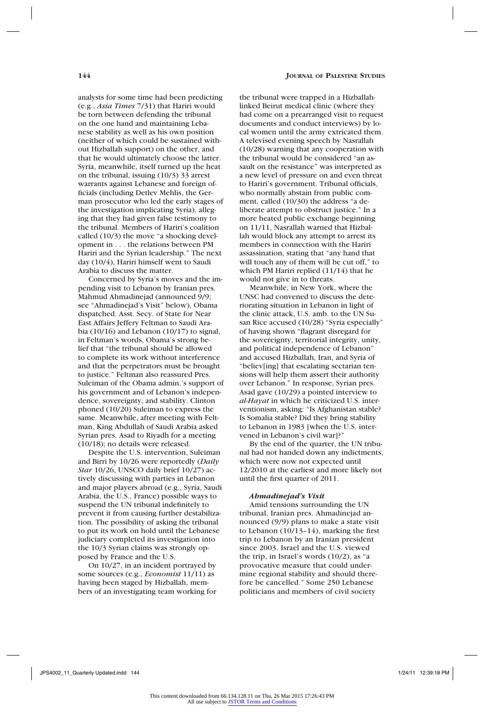analysts for some time had been predicting (e.g., *Asia Times* 7/31) that Hariri would be torn between defending the tribunal on the one hand and maintaining Lebanese stability as well as his own position (neither of which could be sustained without Hizballah support) on the other, and that he would ultimately choose the latter. Syria, meanwhile, itself turned up the heat on the tribunal, issuing (10/3) 33 arrest warrants against Lebanese and foreign officials (including Detlev Mehlis, the German prosecutor who led the early stages of the investigation implicating Syria), alleging that they had given false testimony to the tribunal. Members of Hariri's coalition called (10/3) the move "a shocking development in . . . the relations between PM Hariri and the Syrian leadership." The next day (10/4), Hariri himself went to Saudi Arabia to discuss the matter.

Concerned by Syria's moves and the impending visit to Lebanon by Iranian pres. Mahmud Ahmadinejad (announced 9/9; see "Ahmadinejad's Visit" below), Obama dispatched. Asst. Secy. of State for Near East Affairs Jeffery Feltman to Saudi Arabia (10/16) and Lebanon (10/17) to signal, in Feltman's words, Obama's strong belief that "the tribunal should be allowed to complete its work without interference and that the perpetrators must be brought to justice." Feltman also reassured Pres. Suleiman of the Obama admin.'s support of his government and of Lebanon's independence, sovereignty, and stability. Clinton phoned (10/20) Suleiman to express the same. Meanwhile, after meeting with Feltman, King Abdullah of Saudi Arabia asked Syrian pres. Asad to Riyadh for a meeting (10/18); no details were released.

Despite the U.S. intervention, Suleiman and Birri by 10/26 were reportedly (*Daily Star* 10/26, UNSCO daily brief 10/27) actively discussing with parties in Lebanon and major players abroad (e.g., Syria, Saudi Arabia, the U.S., France) possible ways to suspend the UN tribunal indefinitely to prevent it from causing further destabilization. The possibility of asking the tribunal to put its work on hold until the Lebanese judiciary completed its investigation into the 10/3 Syrian claims was strongly opposed by France and the U.S.

On 10/27, in an incident portrayed by some sources (e.g., *Economist* 11/11) as having been staged by Hizballah, members of an investigating team working for the tribunal were trapped in a Hizballahlinked Beirut medical clinic (where they had come on a prearranged visit to request documents and conduct interviews) by local women until the army extricated them. A televised evening speech by Nasrallah (10/28) warning that any cooperation with the tribunal would be considered "an assault on the resistance" was interpreted as a new level of pressure on and even threat to Hariri's government. Tribunal officials, who normally abstain from public comment, called (10/30) the address "a deliberate attempt to obstruct justice." In a more heated public exchange beginning on 11/11, Nasrallah warned that Hizballah would block any attempt to arrest its members in connection with the Hariri assassination, stating that "any hand that will touch any of them will be cut off," to which PM Hariri replied (11/14) that he would not give in to threats.

Meanwhile, in New York, where the UNSC had convened to discuss the deteriorating situation in Lebanon in light of the clinic attack, U.S. amb. to the UN Susan Rice accused (10/28) "Syria especially" of having shown "flagrant disregard for the sovereignty, territorial integrity, unity, and political independence of Lebanon" and accused Hizballah, Iran, and Syria of "believ[ing] that escalating sectarian tensions will help them assert their authority over Lebanon." In response, Syrian pres. Asad gave (10/29) a pointed interview to *al-Hayat* in which he criticized U.S. interventionism, asking: "Is Afghanistan stable? Is Somalia stable? Did they bring stability to Lebanon in 1983 [when the U.S. intervened in Lebanon's civil war]?"

By the end of the quarter, the UN tribunal had not handed down any indictments, which were now not expected until 12/2010 at the earliest and more likely not until the first quarter of 2011.

## *Ahmadinejad's Visit*

Amid tensions surrounding the UN tribunal, Iranian pres. Ahmadinejad announced (9/9) plans to make a state visit to Lebanon (10/13–14), marking the first trip to Lebanon by an Iranian president since 2003. Israel and the U.S. viewed the trip, in Israel's words (10/2), as "a provocative measure that could undermine regional stability and should therefore be cancelled." Some 250 Lebanese politicians and members of civil society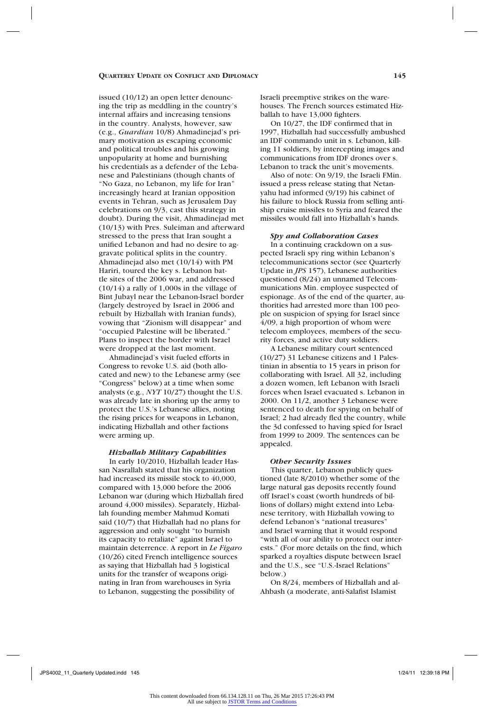issued (10/12) an open letter denouncing the trip as meddling in the country's internal affairs and increasing tensions in the country. Analysts, however, saw (e.g., *Guardian* 10/8) Ahmadinejad's primary motivation as escaping economic and political troubles and his growing unpopularity at home and burnishing his credentials as a defender of the Lebanese and Palestinians (though chants of "No Gaza, no Lebanon, my life for Iran" increasingly heard at Iranian opposition events in Tehran, such as Jerusalem Day celebrations on 9/3, cast this strategy in doubt). During the visit, Ahmadinejad met (10/13) with Pres. Suleiman and afterward stressed to the press that Iran sought a unified Lebanon and had no desire to aggravate political splits in the country. Ahmadinejad also met (10/14) with PM Hariri, toured the key s. Lebanon battle sites of the 2006 war, and addressed (10/14) a rally of 1,000s in the village of Bint Jubayl near the Lebanon-Israel border (largely destroyed by Israel in 2006 and rebuilt by Hizballah with Iranian funds), vowing that "Zionism will disappear" and "occupied Palestine will be liberated." Plans to inspect the border with Israel were dropped at the last moment.

Ahmadinejad's visit fueled efforts in Congress to revoke U.S. aid (both allocated and new) to the Lebanese army (see "Congress" below) at a time when some analysts (e.g., *NYT* 10/27) thought the U.S. was already late in shoring up the army to protect the U.S.'s Lebanese allies, noting the rising prices for weapons in Lebanon, indicating Hizballah and other factions were arming up.

### *Hizballah Military Capabilities*

In early 10/2010, Hizballah leader Hassan Nasrallah stated that his organization had increased its missile stock to 40,000, compared with 13,000 before the 2006 Lebanon war (during which Hizballah fired around 4,000 missiles). Separately, Hizballah founding member Mahmud Komati said (10/7) that Hizballah had no plans for aggression and only sought "to burnish its capacity to retaliate" against Israel to maintain deterrence. A report in *Le Figaro* (10/26) cited French intelligence sources as saying that Hizballah had 3 logistical units for the transfer of weapons originating in Iran from warehouses in Syria to Lebanon, suggesting the possibility of

Israeli preemptive strikes on the warehouses. The French sources estimated Hizballah to have 13,000 fighters.

On 10/27, the IDF confirmed that in 1997, Hizballah had successfully ambushed an IDF commando unit in s. Lebanon, killing 11 soldiers, by intercepting images and communications from IDF drones over s. Lebanon to track the unit's movements.

Also of note: On 9/19, the Israeli FMin. issued a press release stating that Netanyahu had informed (9/19) his cabinet of his failure to block Russia from selling antiship cruise missiles to Syria and feared the missiles would fall into Hizballah's hands.

#### *Spy and Collaboration Cases*

In a continuing crackdown on a suspected Israeli spy ring within Lebanon's telecommunications sector (see Quarterly Update in *JPS* 157), Lebanese authorities questioned (8/24) an unnamed Telecommunications Min. employee suspected of espionage. As of the end of the quarter, authorities had arrested more than 100 people on suspicion of spying for Israel since 4/09, a high proportion of whom were telecom employees, members of the security forces, and active duty soldiers.

A Lebanese military court sentenced (10/27) 31 Lebanese citizens and 1 Palestinian in absentia to 15 years in prison for collaborating with Israel. All 32, including a dozen women, left Lebanon with Israeli forces when Israel evacuated s. Lebanon in 2000. On 11/2, another 3 Lebanese were sentenced to death for spying on behalf of Israel; 2 had already fled the country, while the 3d confessed to having spied for Israel from 1999 to 2009. The sentences can be appealed.

#### *Other Security Issues*

This quarter, Lebanon publicly questioned (late 8/2010) whether some of the large natural gas deposits recently found off Israel's coast (worth hundreds of billions of dollars) might extend into Lebanese territory, with Hizballah vowing to defend Lebanon's "national treasures" and Israel warning that it would respond "with all of our ability to protect our interests." (For more details on the find, which sparked a royalties dispute between Israel and the U.S., see "U.S.-Israel Relations" below.)

On 8/24, members of Hizballah and al-Ahbash (a moderate, anti-Salafist Islamist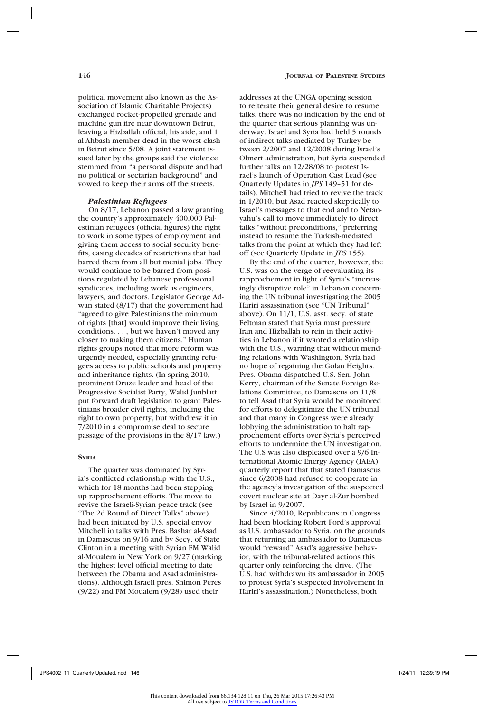political movement also known as the Association of Islamic Charitable Projects) exchanged rocket-propelled grenade and machine gun fire near downtown Beirut, leaving a Hizballah official, his aide, and 1 al-Ahbash member dead in the worst clash in Beirut since 5/08. A joint statement issued later by the groups said the violence stemmed from "a personal dispute and had no political or sectarian background" and vowed to keep their arms off the streets.

## *Palestinian Refugees*

On 8/17, Lebanon passed a law granting the country's approximately 400,000 Palestinian refugees (official figures) the right to work in some types of employment and giving them access to social security benefits, easing decades of restrictions that had barred them from all but menial jobs. They would continue to be barred from positions regulated by Lebanese professional syndicates, including work as engineers, lawyers, and doctors. Legislator George Adwan stated (8/17) that the government had "agreed to give Palestinians the minimum of rights [that] would improve their living conditions. . . , but we haven't moved any closer to making them citizens." Human rights groups noted that more reform was urgently needed, especially granting refugees access to public schools and property and inheritance rights. (In spring 2010, prominent Druze leader and head of the Progressive Socialist Party, Walid Junblatt, put forward draft legislation to grant Palestinians broader civil rights, including the right to own property, but withdrew it in 7/2010 in a compromise deal to secure passage of the provisions in the 8/17 law.)

### **Syria**

The quarter was dominated by Syria's conflicted relationship with the U.S., which for 18 months had been stepping up rapprochement efforts. The move to revive the Israeli-Syrian peace track (see "The 2d Round of Direct Talks" above) had been initiated by U.S. special envoy Mitchell in talks with Pres. Bashar al-Asad in Damascus on 9/16 and by Secy. of State Clinton in a meeting with Syrian FM Walid al-Moualem in New York on 9/27 (marking the highest level official meeting to date between the Obama and Asad administrations). Although Israeli pres. Shimon Peres (9/22) and FM Moualem (9/28) used their

addresses at the UNGA opening session to reiterate their general desire to resume talks, there was no indication by the end of the quarter that serious planning was underway. Israel and Syria had held 5 rounds of indirect talks mediated by Turkey between 2/2007 and 12/2008 during Israel's Olmert administration, but Syria suspended further talks on 12/28/08 to protest Israel's launch of Operation Cast Lead (see Quarterly Updates in *JPS* 149–51 for details). Mitchell had tried to revive the track in 1/2010, but Asad reacted skeptically to Israel's messages to that end and to Netanyahu's call to move immediately to direct talks "without preconditions," preferring instead to resume the Turkish-mediated talks from the point at which they had left off (see Quarterly Update in *JPS* 155).

By the end of the quarter, however, the U.S. was on the verge of reevaluating its rapprochement in light of Syria's "increasingly disruptive role" in Lebanon concerning the UN tribunal investigating the 2005 Hariri assassination (see "UN Tribunal" above). On 11/1, U.S. asst. secy. of state Feltman stated that Syria must pressure Iran and Hizballah to rein in their activities in Lebanon if it wanted a relationship with the U.S., warning that without mending relations with Washington, Syria had no hope of regaining the Golan Heights. Pres. Obama dispatched U.S. Sen. John Kerry, chairman of the Senate Foreign Relations Committee, to Damascus on 11/8 to tell Asad that Syria would be monitored for efforts to delegitimize the UN tribunal and that many in Congress were already lobbying the administration to halt rapprochement efforts over Syria's perceived efforts to undermine the UN investigation. The U.S was also displeased over a 9/6 International Atomic Energy Agency (IAEA) quarterly report that that stated Damascus since 6/2008 had refused to cooperate in the agency's investigation of the suspected covert nuclear site at Dayr al-Zur bombed by Israel in 9/2007.

Since 4/2010, Republicans in Congress had been blocking Robert Ford's approval as U.S. ambassador to Syria, on the grounds that returning an ambassador to Damascus would "reward" Asad's aggressive behavior, with the tribunal-related actions this quarter only reinforcing the drive. (The U.S. had withdrawn its ambassador in 2005 to protest Syria's suspected involvement in Hariri's assassination.) Nonetheless, both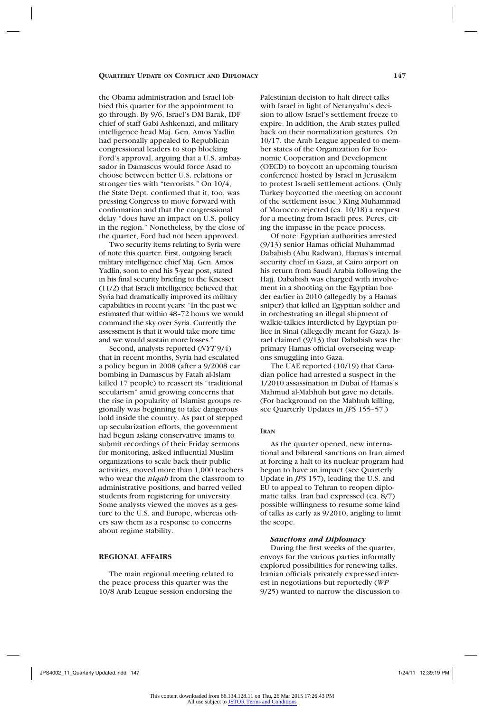the Obama administration and Israel lobbied this quarter for the appointment to go through. By 9/6, Israel's DM Barak, IDF chief of staff Gabi Ashkenazi, and military intelligence head Maj. Gen. Amos Yadlin had personally appealed to Republican congressional leaders to stop blocking Ford's approval, arguing that a U.S. ambassador in Damascus would force Asad to choose between better U.S. relations or stronger ties with "terrorists." On 10/4, the State Dept. confirmed that it, too, was pressing Congress to move forward with confirmation and that the congressional delay "does have an impact on U.S. policy in the region." Nonetheless, by the close of the quarter, Ford had not been approved.

Two security items relating to Syria were of note this quarter. First, outgoing Israeli military intelligence chief Maj. Gen. Amos Yadlin, soon to end his 5-year post, stated in his final security briefing to the Knesset (11/2) that Israeli intelligence believed that Syria had dramatically improved its military capabilities in recent years: "In the past we estimated that within 48–72 hours we would command the sky over Syria. Currently the assessment is that it would take more time and we would sustain more losses."

Second, analysts reported (*NYT* 9/4) that in recent months, Syria had escalated a policy begun in 2008 (after a 9/2008 car bombing in Damascus by Fatah al-Islam killed 17 people) to reassert its "traditional secularism" amid growing concerns that the rise in popularity of Islamist groups regionally was beginning to take dangerous hold inside the country. As part of stepped up secularization efforts, the government had begun asking conservative imams to submit recordings of their Friday sermons for monitoring, asked influential Muslim organizations to scale back their public activities, moved more than 1,000 teachers who wear the *niqab* from the classroom to administrative positions, and barred veiled students from registering for university. Some analysts viewed the moves as a gesture to the U.S. and Europe, whereas others saw them as a response to concerns about regime stability.

## **REGIONAL AFFAIRS**

The main regional meeting related to the peace process this quarter was the 10/8 Arab League session endorsing the

Palestinian decision to halt direct talks with Israel in light of Netanyahu's decision to allow Israel's settlement freeze to expire. In addition, the Arab states pulled back on their normalization gestures. On 10/17, the Arab League appealed to member states of the Organization for Economic Cooperation and Development (OECD) to boycott an upcoming tourism conference hosted by Israel in Jerusalem to protest Israeli settlement actions. (Only Turkey boycotted the meeting on account of the settlement issue.) King Muhammad of Morocco rejected (ca. 10/18) a request for a meeting from Israeli pres. Peres, citing the impasse in the peace process.

Of note: Egyptian authorities arrested (9/13) senior Hamas official Muhammad Dababish (Abu Radwan), Hamas's internal security chief in Gaza, at Cairo airport on his return from Saudi Arabia following the Hajj. Dababish was charged with involvement in a shooting on the Egyptian border earlier in 2010 (allegedly by a Hamas sniper) that killed an Egyptian soldier and in orchestrating an illegal shipment of walkie-talkies interdicted by Egyptian police in Sinai (allegedly meant for Gaza). Israel claimed (9/13) that Dababish was the primary Hamas official overseeing weapons smuggling into Gaza.

The UAE reported (10/19) that Canadian police had arrested a suspect in the 1/2010 assassination in Dubai of Hamas's Mahmud al-Mabhuh but gave no details. (For background on the Mabhuh killing, see Quarterly Updates in *JPS* 155–57.)

#### **Iran**

As the quarter opened, new international and bilateral sanctions on Iran aimed at forcing a halt to its nuclear program had begun to have an impact (see Quarterly Update in *JPS* 157), leading the U.S. and EU to appeal to Tehran to reopen diplomatic talks. Iran had expressed (ca. 8/7) possible willingness to resume some kind of talks as early as 9/2010, angling to limit the scope.

### *Sanctions and Diplomacy*

During the first weeks of the quarter, envoys for the various parties informally explored possibilities for renewing talks. Iranian officials privately expressed interest in negotiations but reportedly (*WP* 9/25) wanted to narrow the discussion to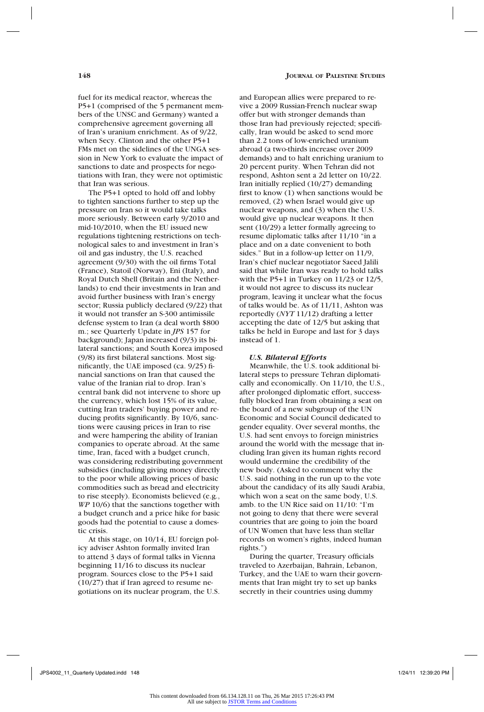fuel for its medical reactor, whereas the P5+1 (comprised of the 5 permanent members of the UNSC and Germany) wanted a comprehensive agreement governing all of Iran's uranium enrichment. As of 9/22, when Secy. Clinton and the other P5+1 FMs met on the sidelines of the UNGA session in New York to evaluate the impact of sanctions to date and prospects for negotiations with Iran, they were not optimistic that Iran was serious.

The P5+1 opted to hold off and lobby to tighten sanctions further to step up the pressure on Iran so it would take talks more seriously. Between early 9/2010 and mid-10/2010, when the EU issued new regulations tightening restrictions on technological sales to and investment in Iran's oil and gas industry, the U.S. reached agreement (9/30) with the oil firms Total (France), Statoil (Norway), Eni (Italy), and Royal Dutch Shell (Britain and the Netherlands) to end their investments in Iran and avoid further business with Iran's energy sector; Russia publicly declared (9/22) that it would not transfer an S-300 antimissile defense system to Iran (a deal worth \$800 m.; see Quarterly Update in *JPS* 157 for background); Japan increased (9/3) its bilateral sanctions; and South Korea imposed (9/8) its first bilateral sanctions. Most significantly, the UAE imposed (ca. 9/25) financial sanctions on Iran that caused the value of the Iranian rial to drop. Iran's central bank did not intervene to shore up the currency, which lost 15% of its value, cutting Iran traders' buying power and reducing profits significantly. By 10/6, sanctions were causing prices in Iran to rise and were hampering the ability of Iranian companies to operate abroad. At the same time, Iran, faced with a budget crunch, was considering redistributing government subsidies (including giving money directly to the poor while allowing prices of basic commodities such as bread and electricity to rise steeply). Economists believed (e.g., *WP* 10/6) that the sanctions together with a budget crunch and a price hike for basic goods had the potential to cause a domestic crisis.

At this stage, on 10/14, EU foreign policy adviser Ashton formally invited Iran to attend 3 days of formal talks in Vienna beginning 11/16 to discuss its nuclear program. Sources close to the P5+1 said (10/27) that if Iran agreed to resume negotiations on its nuclear program, the U.S. and European allies were prepared to revive a 2009 Russian-French nuclear swap offer but with stronger demands than those Iran had previously rejected; specifically, Iran would be asked to send more than 2.2 tons of low-enriched uranium abroad (a two-thirds increase over 2009 demands) and to halt enriching uranium to 20 percent purity. When Tehran did not respond, Ashton sent a 2d letter on 10/22. Iran initially replied (10/27) demanding first to know (1) when sanctions would be removed, (2) when Israel would give up nuclear weapons, and (3) when the U.S. would give up nuclear weapons. It then sent (10/29) a letter formally agreeing to resume diplomatic talks after 11/10 "in a place and on a date convenient to both sides." But in a follow-up letter on 11/9, Iran's chief nuclear negotiator Saeed Jalili said that while Iran was ready to hold talks with the P5+1 in Turkey on 11/23 or 12/5, it would not agree to discuss its nuclear program, leaving it unclear what the focus of talks would be. As of 11/11, Ashton was reportedly (*NYT* 11/12) drafting a letter accepting the date of 12/5 but asking that talks be held in Europe and last for 3 days instead of 1.

#### *U.S. Bilateral Efforts*

Meanwhile, the U.S. took additional bilateral steps to pressure Tehran diplomatically and economically. On 11/10, the U.S., after prolonged diplomatic effort, successfully blocked Iran from obtaining a seat on the board of a new subgroup of the UN Economic and Social Council dedicated to gender equality. Over several months, the U.S. had sent envoys to foreign ministries around the world with the message that including Iran given its human rights record would undermine the credibility of the new body. (Asked to comment why the U.S. said nothing in the run up to the vote about the candidacy of its ally Saudi Arabia, which won a seat on the same body, U.S. amb. to the UN Rice said on 11/10: "I'm not going to deny that there were several countries that are going to join the board of UN Women that have less than stellar records on women's rights, indeed human rights.")

During the quarter, Treasury officials traveled to Azerbaijan, Bahrain, Lebanon, Turkey, and the UAE to warn their governments that Iran might try to set up banks secretly in their countries using dummy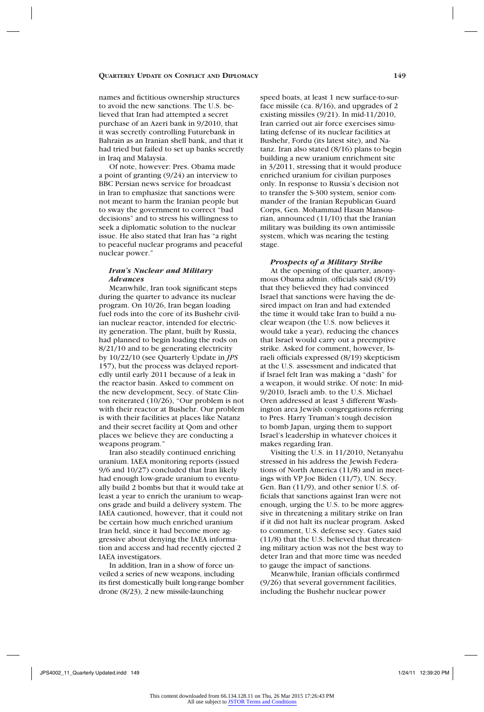names and fictitious ownership structures to avoid the new sanctions. The U.S. believed that Iran had attempted a secret purchase of an Azeri bank in 9/2010, that it was secretly controlling Futurebank in Bahrain as an Iranian shell bank, and that it had tried but failed to set up banks secretly in Iraq and Malaysia.

Of note, however: Pres. Obama made a point of granting (9/24) an interview to BBC Persian news service for broadcast in Iran to emphasize that sanctions were not meant to harm the Iranian people but to sway the government to correct "bad decisions" and to stress his willingness to seek a diplomatic solution to the nuclear issue. He also stated that Iran has "a right to peaceful nuclear programs and peaceful nuclear power."

## *Iran's Nuclear and Military Advances*

Meanwhile, Iran took significant steps during the quarter to advance its nuclear program. On 10/26, Iran began loading fuel rods into the core of its Bushehr civilian nuclear reactor, intended for electricity generation. The plant, built by Russia, had planned to begin loading the rods on 8/21/10 and to be generating electricity by 10/22/10 (see Quarterly Update in *JPS* 157), but the process was delayed reportedly until early 2011 because of a leak in the reactor basin. Asked to comment on the new development, Secy. of State Clinton reiterated (10/26), "Our problem is not with their reactor at Bushehr. Our problem is with their facilities at places like Natanz and their secret facility at Qom and other places we believe they are conducting a weapons program.'

Iran also steadily continued enriching uranium. IAEA monitoring reports (issued 9/6 and 10/27) concluded that Iran likely had enough low-grade uranium to eventually build 2 bombs but that it would take at least a year to enrich the uranium to weapons grade and build a delivery system. The IAEA cautioned, however, that it could not be certain how much enriched uranium Iran held, since it had become more aggressive about denying the IAEA information and access and had recently ejected 2 IAEA investigators.

In addition, Iran in a show of force unveiled a series of new weapons, including its first domestically built long-range bomber drone (8/23), 2 new missile-launching

speed boats, at least 1 new surface-to-surface missile (ca. 8/16), and upgrades of 2 existing missiles (9/21). In mid-11/2010, Iran carried out air force exercises simulating defense of its nuclear facilities at Bushehr, Fordu (its latest site), and Natanz. Iran also stated (8/16) plans to begin building a new uranium enrichment site in 3/2011, stressing that it would produce enriched uranium for civilian purposes only. In response to Russia's decision not to transfer the S-300 system, senior commander of the Iranian Republican Guard Corps, Gen. Mohammad Hasan Mansourian, announced (11/10) that the Iranian military was building its own antimissile system, which was nearing the testing stage.

### *Prospects of a Military Strike*

At the opening of the quarter, anonymous Obama admin. officials said (8/19) that they believed they had convinced Israel that sanctions were having the desired impact on Iran and had extended the time it would take Iran to build a nuclear weapon (the U.S. now believes it would take a year), reducing the chances that Israel would carry out a preemptive strike. Asked for comment, however, Israeli officials expressed (8/19) skepticism at the U.S. assessment and indicated that if Israel felt Iran was making a "dash" for a weapon, it would strike. Of note: In mid-9/2010, Israeli amb. to the U.S. Michael Oren addressed at least 3 different Washington area Jewish congregations referring to Pres. Harry Truman's tough decision to bomb Japan, urging them to support Israel's leadership in whatever choices it makes regarding Iran.

Visiting the U.S. in 11/2010, Netanyahu stressed in his address the Jewish Federations of North America (11/8) and in meetings with VP Joe Biden (11/7), UN. Secy. Gen. Ban (11/9), and other senior U.S. officials that sanctions against Iran were not enough, urging the U.S. to be more aggressive in threatening a military strike on Iran if it did not halt its nuclear program. Asked to comment, U.S. defense secy. Gates said (11/8) that the U.S. believed that threatening military action was not the best way to deter Iran and that more time was needed to gauge the impact of sanctions.

Meanwhile, Iranian officials confirmed (9/26) that several government facilities, including the Bushehr nuclear power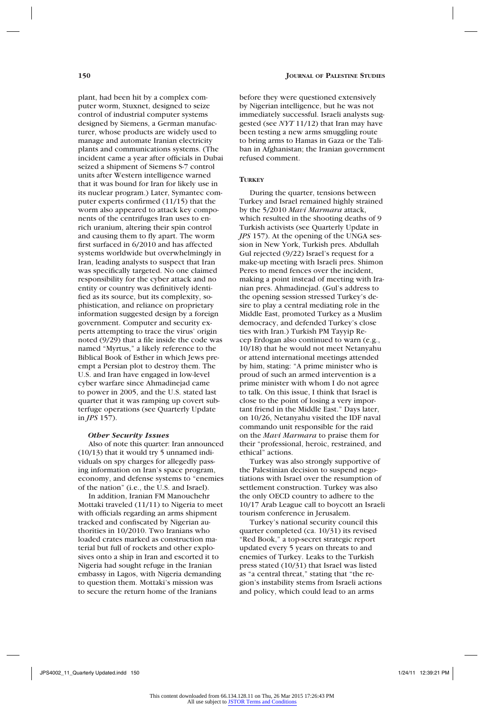plant, had been hit by a complex computer worm, Stuxnet, designed to seize control of industrial computer systems designed by Siemens, a German manufacturer, whose products are widely used to manage and automate Iranian electricity plants and communications systems. (The incident came a year after officials in Dubai seized a shipment of Siemens S-7 control units after Western intelligence warned that it was bound for Iran for likely use in its nuclear program.) Later, Symantec computer experts confirmed (11/15) that the worm also appeared to attack key components of the centrifuges Iran uses to enrich uranium, altering their spin control and causing them to fly apart. The worm first surfaced in 6/2010 and has affected systems worldwide but overwhelmingly in Iran, leading analysts to suspect that Iran was specifically targeted. No one claimed responsibility for the cyber attack and no entity or country was definitively identified as its source, but its complexity, sophistication, and reliance on proprietary information suggested design by a foreign government. Computer and security experts attempting to trace the virus' origin noted (9/29) that a file inside the code was named "Myrtus," a likely reference to the Biblical Book of Esther in which Jews preempt a Persian plot to destroy them. The U.S. and Iran have engaged in low-level cyber warfare since Ahmadinejad came to power in 2005, and the U.S. stated last quarter that it was ramping up covert subterfuge operations (see Quarterly Update in *JPS* 157).

#### *Other Security Issues*

Also of note this quarter: Iran announced (10/13) that it would try 5 unnamed individuals on spy charges for allegedly passing information on Iran's space program, economy, and defense systems to "enemies of the nation" (i.e., the U.S. and Israel).

In addition, Iranian FM Manouchehr Mottaki traveled (11/11) to Nigeria to meet with officials regarding an arms shipment tracked and confiscated by Nigerian authorities in 10/2010. Two Iranians who loaded crates marked as construction material but full of rockets and other explosives onto a ship in Iran and escorted it to Nigeria had sought refuge in the Iranian embassy in Lagos, with Nigeria demanding to question them. Mottaki's mission was to secure the return home of the Iranians

before they were questioned extensively by Nigerian intelligence, but he was not immediately successful. Israeli analysts suggested (see *NYT* 11/12) that Iran may have been testing a new arms smuggling route to bring arms to Hamas in Gaza or the Taliban in Afghanistan; the Iranian government refused comment.

## **Turkey**

During the quarter, tensions between Turkey and Israel remained highly strained by the 5/2010 *Mavi Marmara* attack, which resulted in the shooting deaths of 9 Turkish activists (see Quarterly Update in *JPS* 157). At the opening of the UNGA session in New York, Turkish pres. Abdullah Gul rejected (9/22) Israel's request for a make-up meeting with Israeli pres. Shimon Peres to mend fences over the incident, making a point instead of meeting with Iranian pres. Ahmadinejad. (Gul's address to the opening session stressed Turkey's desire to play a central mediating role in the Middle East, promoted Turkey as a Muslim democracy, and defended Turkey's close ties with Iran.) Turkish PM Tayyip Recep Erdogan also continued to warn (e.g., 10/18) that he would not meet Netanyahu or attend international meetings attended by him, stating: "A prime minister who is proud of such an armed intervention is a prime minister with whom I do not agree to talk. On this issue, I think that Israel is close to the point of losing a very important friend in the Middle East." Days later, on 10/26, Netanyahu visited the IDF naval commando unit responsible for the raid on the *Mavi Marmara* to praise them for their "professional, heroic, restrained, and ethical" actions.

Turkey was also strongly supportive of the Palestinian decision to suspend negotiations with Israel over the resumption of settlement construction. Turkey was also the only OECD country to adhere to the 10/17 Arab League call to boycott an Israeli tourism conference in Jerusalem.

Turkey's national security council this quarter completed (ca. 10/31) its revised "Red Book," a top-secret strategic report updated every 5 years on threats to and enemies of Turkey. Leaks to the Turkish press stated (10/31) that Israel was listed as "a central threat," stating that "the region's instability stems from Israeli actions and policy, which could lead to an arms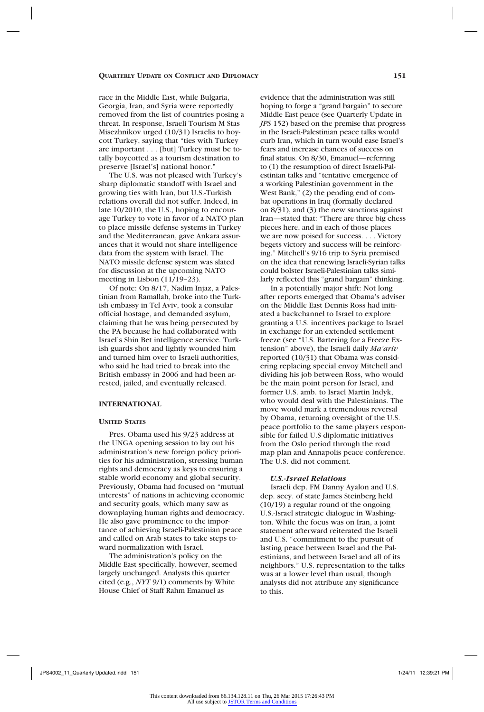race in the Middle East, while Bulgaria, Georgia, Iran, and Syria were reportedly removed from the list of countries posing a threat. In response, Israeli Tourism M Stas Misezhnikov urged (10/31) Israelis to boycott Turkey, saying that "ties with Turkey are important . . . [but] Turkey must be totally boycotted as a tourism destination to preserve [Israel's] national honor."

The U.S. was not pleased with Turkey's sharp diplomatic standoff with Israel and growing ties with Iran, but U.S.-Turkish relations overall did not suffer. Indeed, in late 10/2010, the U.S., hoping to encourage Turkey to vote in favor of a NATO plan to place missile defense systems in Turkey and the Mediterranean, gave Ankara assurances that it would not share intelligence data from the system with Israel. The NATO missile defense system was slated for discussion at the upcoming NATO meeting in Lisbon (11/19-23).

Of note: On 8/17, Nadim Injaz, a Palestinian from Ramallah, broke into the Turkish embassy in Tel Aviv, took a consular official hostage, and demanded asylum, claiming that he was being persecuted by the PA because he had collaborated with Israel's Shin Bet intelligence service. Turkish guards shot and lightly wounded him and turned him over to Israeli authorities, who said he had tried to break into the British embassy in 2006 and had been arrested, jailed, and eventually released.

## **INTERNATIONAL**

## **United States**

Pres. Obama used his 9/23 address at the UNGA opening session to lay out his administration's new foreign policy priorities for his administration, stressing human rights and democracy as keys to ensuring a stable world economy and global security. Previously, Obama had focused on "mutual interests" of nations in achieving economic and security goals, which many saw as downplaying human rights and democracy. He also gave prominence to the importance of achieving Israeli-Palestinian peace and called on Arab states to take steps toward normalization with Israel.

The administration's policy on the Middle East specifically, however, seemed largely unchanged. Analysts this quarter cited (e.g., *NYT* 9/1) comments by White House Chief of Staff Rahm Emanuel as

evidence that the administration was still hoping to forge a "grand bargain" to secure Middle East peace (see Quarterly Update in *JPS* 152) based on the premise that progress in the Israeli-Palestinian peace talks would curb Iran, which in turn would ease Israel's fears and increase chances of success on final status. On 8/30, Emanuel—referring to (1) the resumption of direct Israeli-Palestinian talks and "tentative emergence of a working Palestinian government in the West Bank," (2) the pending end of combat operations in Iraq (formally declared on 8/31), and (3) the new sanctions against Iran—stated that: "There are three big chess pieces here, and in each of those places we are now poised for success. . . . Victory begets victory and success will be reinforcing." Mitchell's 9/16 trip to Syria premised on the idea that renewing Israeli-Syrian talks could bolster Israeli-Palestinian talks similarly reflected this "grand bargain" thinking.

In a potentially major shift: Not long after reports emerged that Obama's adviser on the Middle East Dennis Ross had initiated a backchannel to Israel to explore granting a U.S. incentives package to Israel in exchange for an extended settlement freeze (see "U.S. Bartering for a Freeze Extension" above), the Israeli daily *Ma'ariv* reported (10/31) that Obama was considering replacing special envoy Mitchell and dividing his job between Ross, who would be the main point person for Israel, and former U.S. amb. to Israel Martin Indyk, who would deal with the Palestinians. The move would mark a tremendous reversal by Obama, returning oversight of the U.S. peace portfolio to the same players responsible for failed U.S diplomatic initiatives from the Oslo period through the road map plan and Annapolis peace conference. The U.S. did not comment.

## *U.S.-Israel Relations*

Israeli dep. FM Danny Ayalon and U.S. dep. secy. of state James Steinberg held (10/19) a regular round of the ongoing U.S.-Israel strategic dialogue in Washington. While the focus was on Iran, a joint statement afterward reiterated the Israeli and U.S. "commitment to the pursuit of lasting peace between Israel and the Palestinians, and between Israel and all of its neighbors." U.S. representation to the talks was at a lower level than usual, though analysts did not attribute any significance to this.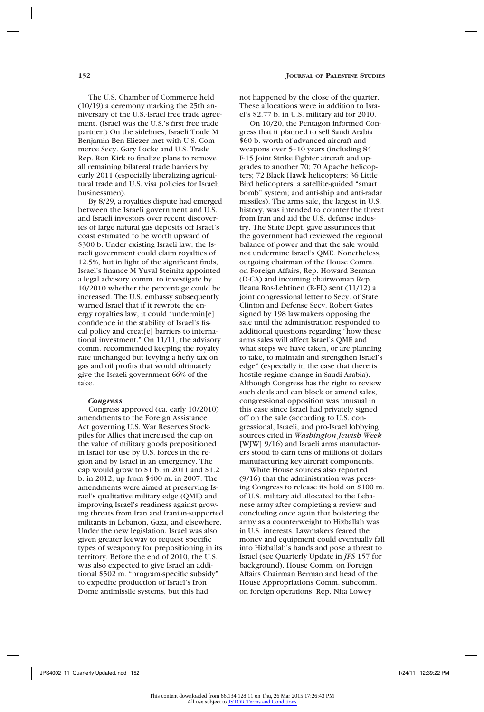The U.S. Chamber of Commerce held (10/19) a ceremony marking the 25th anniversary of the U.S.-Israel free trade agreement. (Israel was the U.S.'s first free trade partner.) On the sidelines, Israeli Trade M Benjamin Ben Eliezer met with U.S. Commerce Secy. Gary Locke and U.S. Trade Rep. Ron Kirk to finalize plans to remove all remaining bilateral trade barriers by early 2011 (especially liberalizing agricultural trade and U.S. visa policies for Israeli businessmen).

By 8/29, a royalties dispute had emerged between the Israeli government and U.S. and Israeli investors over recent discoveries of large natural gas deposits off Israel's coast estimated to be worth upward of \$300 b. Under existing Israeli law, the Israeli government could claim royalties of 12.5%, but in light of the significant finds, Israel's finance M Yuval Steinitz appointed a legal advisory comm. to investigate by 10/2010 whether the percentage could be increased. The U.S. embassy subsequently warned Israel that if it rewrote the energy royalties law, it could "undermin[e] confidence in the stability of Israel's fiscal policy and creat[e] barriers to international investment." On 11/11, the advisory comm. recommended keeping the royalty rate unchanged but levying a hefty tax on gas and oil profits that would ultimately give the Israeli government 66% of the take.

#### *Congress*

Congress approved (ca. early 10/2010) amendments to the Foreign Assistance Act governing U.S. War Reserves Stockpiles for Allies that increased the cap on the value of military goods prepositioned in Israel for use by U.S. forces in the region and by Israel in an emergency. The cap would grow to \$1 b. in 2011 and \$1.2 b. in 2012, up from \$400 m. in 2007. The amendments were aimed at preserving Israel's qualitative military edge (QME) and improving Israel's readiness against growing threats from Iran and Iranian-supported militants in Lebanon, Gaza, and elsewhere. Under the new legislation, Israel was also given greater leeway to request specific types of weaponry for prepositioning in its territory. Before the end of 2010, the U.S. was also expected to give Israel an additional \$502 m. "program-specific subsidy" to expedite production of Israel's Iron Dome antimissile systems, but this had

not happened by the close of the quarter. These allocations were in addition to Israel's \$2.77 b. in U.S. military aid for 2010.

On 10/20, the Pentagon informed Congress that it planned to sell Saudi Arabia \$60 b. worth of advanced aircraft and weapons over 5–10 years (including 84 F-15 Joint Strike Fighter aircraft and upgrades to another 70; 70 Apache helicopters; 72 Black Hawk helicopters; 36 Little Bird helicopters; a satellite-guided "smart bomb" system; and anti-ship and anti-radar missiles). The arms sale, the largest in U.S. history, was intended to counter the threat from Iran and aid the U.S. defense industry. The State Dept. gave assurances that the government had reviewed the regional balance of power and that the sale would not undermine Israel's QME. Nonetheless, outgoing chairman of the House Comm. on Foreign Affairs, Rep. Howard Berman (D-CA) and incoming chairwoman Rep. Ileana Ros-Lehtinen (R-FL) sent (11/12) a joint congressional letter to Secy. of State Clinton and Defense Secy. Robert Gates signed by 198 lawmakers opposing the sale until the administration responded to additional questions regarding "how these arms sales will affect Israel's QME and what steps we have taken, or are planning to take, to maintain and strengthen Israel's edge" (especially in the case that there is hostile regime change in Saudi Arabia). Although Congress has the right to review such deals and can block or amend sales, congressional opposition was unusual in this case since Israel had privately signed off on the sale (according to U.S. congressional, Israeli, and pro-Israel lobbying sources cited in *Washington Jewish Week*  [WJW] 9/16) and Israeli arms manufacturers stood to earn tens of millions of dollars manufacturing key aircraft components.

White House sources also reported (9/16) that the administration was pressing Congress to release its hold on \$100 m. of U.S. military aid allocated to the Lebanese army after completing a review and concluding once again that bolstering the army as a counterweight to Hizballah was in U.S. interests. Lawmakers feared the money and equipment could eventually fall into Hizballah's hands and pose a threat to Israel (see Quarterly Update in *JPS* 157 for background). House Comm. on Foreign Affairs Chairman Berman and head of the House Appropriations Comm. subcomm. on foreign operations, Rep. Nita Lowey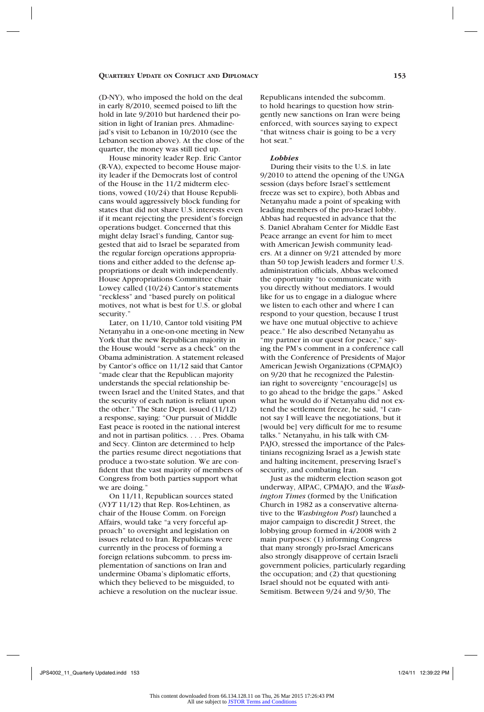(D-NY), who imposed the hold on the deal in early 8/2010, seemed poised to lift the hold in late 9/2010 but hardened their position in light of Iranian pres. Ahmadinejad's visit to Lebanon in 10/2010 (see the Lebanon section above). At the close of the quarter, the money was still tied up.

House minority leader Rep. Eric Cantor (R-VA), expected to become House majority leader if the Democrats lost of control of the House in the 11/2 midterm elections, vowed (10/24) that House Republicans would aggressively block funding for states that did not share U.S. interests even if it meant rejecting the president's foreign operations budget. Concerned that this might delay Israel's funding, Cantor suggested that aid to Israel be separated from the regular foreign operations appropriations and either added to the defense appropriations or dealt with independently. House Appropriations Committee chair Lowey called (10/24) Cantor's statements "reckless" and "based purely on political motives, not what is best for U.S. or global security."

Later, on 11/10, Cantor told visiting PM Netanyahu in a one-on-one meeting in New York that the new Republican majority in the House would "serve as a check" on the Obama administration. A statement released by Cantor's office on 11/12 said that Cantor "made clear that the Republican majority understands the special relationship between Israel and the United States, and that the security of each nation is reliant upon the other." The State Dept. issued (11/12) a response, saying: "Our pursuit of Middle East peace is rooted in the national interest and not in partisan politics. . . . Pres. Obama and Secy. Clinton are determined to help the parties resume direct negotiations that produce a two-state solution. We are confident that the vast majority of members of Congress from both parties support what we are doing.'

On 11/11, Republican sources stated (*NYT* 11/12) that Rep. Ros-Lehtinen, as chair of the House Comm. on Foreign Affairs, would take "a very forceful approach" to oversight and legislation on issues related to Iran. Republicans were currently in the process of forming a foreign relations subcomm. to press implementation of sanctions on Iran and undermine Obama's diplomatic efforts, which they believed to be misguided, to achieve a resolution on the nuclear issue. Republicans intended the subcomm. to hold hearings to question how stringently new sanctions on Iran were being enforced, with sources saying to expect "that witness chair is going to be a very hot seat."

#### *Lobbies*

During their visits to the U.S. in late 9/2010 to attend the opening of the UNGA session (days before Israel's settlement freeze was set to expire), both Abbas and Netanyahu made a point of speaking with leading members of the pro-Israel lobby. Abbas had requested in advance that the S. Daniel Abraham Center for Middle East Peace arrange an event for him to meet with American Jewish community leaders. At a dinner on 9/21 attended by more than 50 top Jewish leaders and former U.S. administration officials, Abbas welcomed the opportunity "to communicate with you directly without mediators. I would like for us to engage in a dialogue where we listen to each other and where I can respond to your question, because I trust we have one mutual objective to achieve peace." He also described Netanyahu as 'my partner in our quest for peace," saying the PM's comment in a conference call with the Conference of Presidents of Major American Jewish Organizations (CPMAJO) on 9/20 that he recognized the Palestinian right to sovereignty "encourage[s] us to go ahead to the bridge the gaps." Asked what he would do if Netanyahu did not extend the settlement freeze, he said, "I cannot say I will leave the negotiations, but it [would be] very difficult for me to resume talks." Netanyahu, in his talk with CM-PAJO, stressed the importance of the Palestinians recognizing Israel as a Jewish state and halting incitement, preserving Israel's security, and combating Iran.

Just as the midterm election season got underway, AIPAC, CPMAJO, and the *Washington Times* (formed by the Unification Church in 1982 as a conservative alternative to the *Washington Post*) launched a major campaign to discredit J Street, the lobbying group formed in 4/2008 with 2 main purposes: (1) informing Congress that many strongly pro-Israel Americans also strongly disapprove of certain Israeli government policies, particularly regarding the occupation; and (2) that questioning Israel should not be equated with anti-Semitism. Between 9/24 and 9/30, The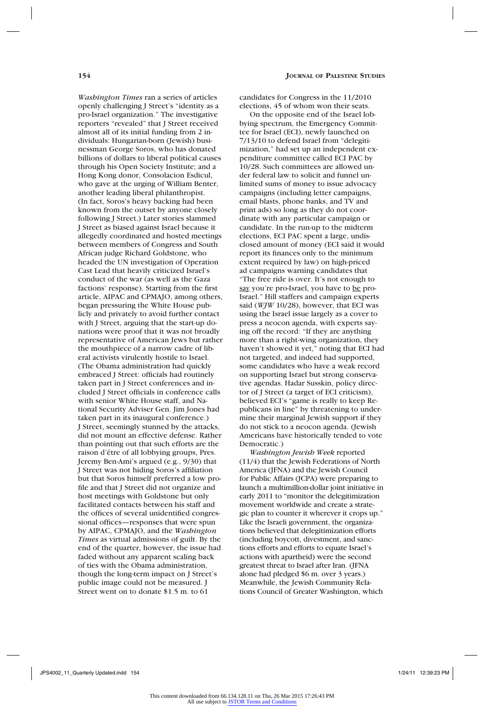*Washington Times* ran a series of articles openly challenging J Street's "identity as a pro-Israel organization." The investigative reporters "revealed" that J Street received almost all of its initial funding from 2 individuals: Hungarian-born (Jewish) businessman George Soros, who has donated billions of dollars to liberal political causes through his Open Society Institute; and a Hong Kong donor, Consolacion Esdicul, who gave at the urging of William Benter, another leading liberal philanthropist. (In fact, Soros's heavy backing had been known from the outset by anyone closely following J Street.) Later stories slammed J Street as biased against Israel because it allegedly coordinated and hosted meetings between members of Congress and South African judge Richard Goldstone, who headed the UN investigation of Operation Cast Lead that heavily criticized Israel's conduct of the war (as well as the Gaza factions' response). Starting from the first article, AIPAC and CPMAJO, among others, began pressuring the White House publicly and privately to avoid further contact with J Street, arguing that the start-up donations were proof that it was not broadly representative of American Jews but rather the mouthpiece of a narrow cadre of liberal activists virulently hostile to Israel. (The Obama administration had quickly embraced J Street: officials had routinely taken part in J Street conferences and included J Street officials in conference calls with senior White House staff, and National Security Adviser Gen. Jim Jones had taken part in its inaugural conference.) J Street, seemingly stunned by the attacks, did not mount an effective defense. Rather than pointing out that such efforts are the raison d'être of all lobbying groups, Pres. Jeremy Ben-Ami's argued (e.g., 9/30) that J Street was not hiding Soros's affiliation but that Soros himself preferred a low profile and that J Street did not organize and host meetings with Goldstone but only facilitated contacts between his staff and the offices of several unidentified congressional offices—responses that were spun by AIPAC, CPMAJO, and the *Washington Times* as virtual admissions of guilt. By the end of the quarter, however, the issue had faded without any apparent scaling back of ties with the Obama administration, though the long-term impact on J Street's public image could not be measured. J Street went on to donate \$1.5 m. to 61

candidates for Congress in the 11/2010 elections, 45 of whom won their seats.

On the opposite end of the Israel lobbying spectrum, the Emergency Committee for Israel (ECI), newly launched on 7/13/10 to defend Israel from "delegitimization," had set up an independent expenditure committee called ECI PAC by 10/28. Such committees are allowed under federal law to solicit and funnel unlimited sums of money to issue advocacy campaigns (including letter campaigns, email blasts, phone banks, and TV and print ads) so long as they do not coordinate with any particular campaign or candidate. In the run-up to the midterm elections, ECI PAC spent a large, undisclosed amount of money (ECI said it would report its finances only to the minimum extent required by law) on high-priced ad campaigns warning candidates that "The free ride is over. It's not enough to say you're pro-Israel, you have to be pro-Israel." Hill staffers and campaign experts said (*WJW* 10/28), however, that ECI was using the Israel issue largely as a cover to press a neocon agenda, with experts saying off the record: "If they are anything more than a right-wing organization, they haven't showed it yet," noting that ECI had not targeted, and indeed had supported, some candidates who have a weak record on supporting Israel but strong conservative agendas. Hadar Susskin, policy director of J Street (a target of ECI criticism), believed ECI's "game is really to keep Republicans in line" by threatening to undermine their marginal Jewish support if they do not stick to a neocon agenda. (Jewish Americans have historically tended to vote Democratic.)

*Washington Jewish Week* reported (11/4) that the Jewish Federations of North America (JFNA) and the Jewish Council for Public Affairs (JCPA) were preparing to launch a multimillion-dollar joint initiative in early 2011 to "monitor the delegitimization movement worldwide and create a strategic plan to counter it wherever it crops up." Like the Israeli government, the organizations believed that delegitimization efforts (including boycott, divestment, and sanctions efforts and efforts to equate Israel's actions with apartheid) were the second greatest threat to Israel after Iran. (JFNA alone had pledged \$6 m. over 3 years.) Meanwhile, the Jewish Community Relations Council of Greater Washington, which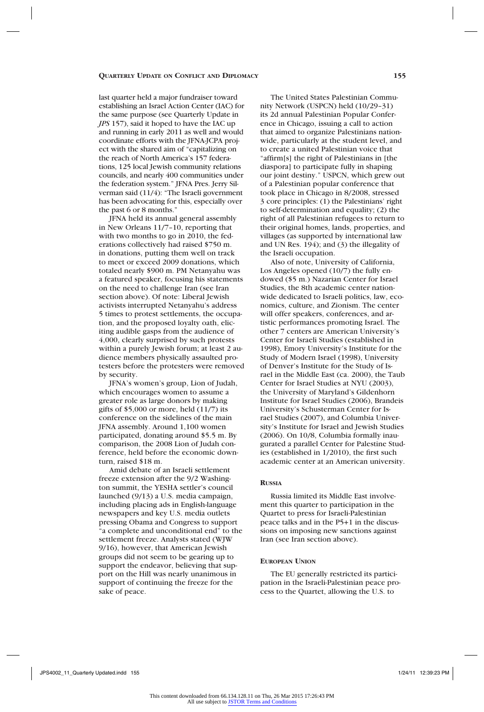last quarter held a major fundraiser toward establishing an Israel Action Center (IAC) for the same purpose (see Quarterly Update in *JPS* 157), said it hoped to have the IAC up and running in early 2011 as well and would coordinate efforts with the JFNA-JCPA project with the shared aim of "capitalizing on the reach of North America's 157 federations, 125 local Jewish community relations councils, and nearly 400 communities under the federation system." JFNA Pres. Jerry Silverman said (11/4): "The Israeli government has been advocating for this, especially over the past 6 or 8 months."

JFNA held its annual general assembly in New Orleans 11/7–10, reporting that with two months to go in 2010, the federations collectively had raised \$750 m. in donations, putting them well on track to meet or exceed 2009 donations, which totaled nearly \$900 m. PM Netanyahu was a featured speaker, focusing his statements on the need to challenge Iran (see Iran section above). Of note: Liberal Jewish activists interrupted Netanyahu's address 5 times to protest settlements, the occupation, and the proposed loyalty oath, eliciting audible gasps from the audience of 4,000, clearly surprised by such protests within a purely Jewish forum; at least 2 audience members physically assaulted protesters before the protesters were removed by security.

JFNA's women's group, Lion of Judah, which encourages women to assume a greater role as large donors by making gifts of  $$5,000$  or more, held  $(11/7)$  its conference on the sidelines of the main JFNA assembly. Around 1,100 women participated, donating around \$5.5 m. By comparison, the 2008 Lion of Judah conference, held before the economic downturn, raised \$18 m.

Amid debate of an Israeli settlement freeze extension after the 9/2 Washington summit, the YESHA settler's council launched (9/13) a U.S. media campaign, including placing ads in English-language newspapers and key U.S. media outlets pressing Obama and Congress to support "a complete and unconditional end" to the settlement freeze. Analysts stated (WJW 9/16), however, that American Jewish groups did not seem to be gearing up to support the endeavor, believing that support on the Hill was nearly unanimous in support of continuing the freeze for the sake of peace.

The United States Palestinian Community Network (USPCN) held (10/29–31) its 2d annual Palestinian Popular Conference in Chicago, issuing a call to action that aimed to organize Palestinians nationwide, particularly at the student level, and to create a united Palestinian voice that "affirm[s] the right of Palestinians in [the diaspora] to participate fully in shaping our joint destiny." USPCN, which grew out of a Palestinian popular conference that took place in Chicago in 8/2008, stressed 3 core principles: (1) the Palestinians' right to self-determination and equality; (2) the right of all Palestinian refugees to return to their original homes, lands, properties, and villages (as supported by international law and UN Res. 194); and (3) the illegality of the Israeli occupation.

Also of note, University of California, Los Angeles opened (10/7) the fully endowed (\$5 m.) Nazarian Center for Israel Studies, the 8th academic center nationwide dedicated to Israeli politics, law, economics, culture, and Zionism. The center will offer speakers, conferences, and artistic performances promoting Israel. The other 7 centers are American University's Center for Israeli Studies (established in 1998), Emory University's Institute for the Study of Modern Israel (1998), University of Denver's Institute for the Study of Israel in the Middle East (ca. 2000), the Taub Center for Israel Studies at NYU (2003), the University of Maryland's Gildenhorn Institute for Israel Studies (2006), Brandeis University's Schusterman Center for Israel Studies (2007), and Columbia University's Institute for Israel and Jewish Studies (2006). On 10/8, Columbia formally inaugurated a parallel Center for Palestine Studies (established in 1/2010), the first such academic center at an American university.

## **Russia**

Russia limited its Middle East involvement this quarter to participation in the Quartet to press for Israeli-Palestinian peace talks and in the P5+1 in the discussions on imposing new sanctions against Iran (see Iran section above).

#### **European Union**

The EU generally restricted its participation in the Israeli-Palestinian peace process to the Quartet, allowing the U.S. to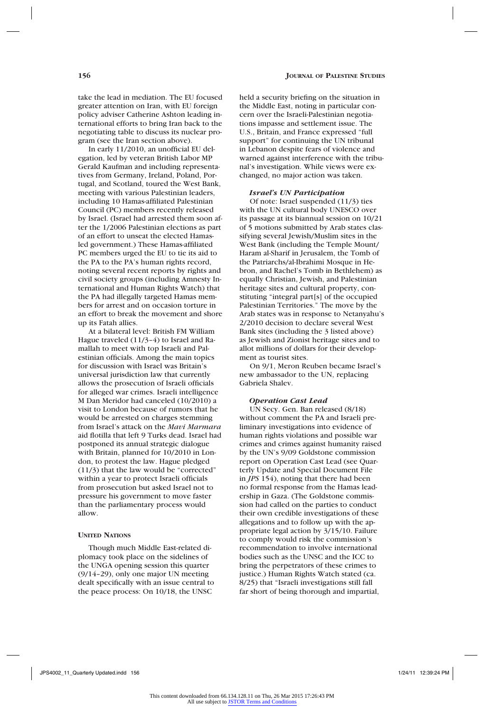take the lead in mediation. The EU focused greater attention on Iran, with EU foreign policy adviser Catherine Ashton leading international efforts to bring Iran back to the negotiating table to discuss its nuclear program (see the Iran section above).

In early 11/2010, an unofficial EU delegation, led by veteran British Labor MP Gerald Kaufman and including representatives from Germany, Ireland, Poland, Portugal, and Scotland, toured the West Bank, meeting with various Palestinian leaders, including 10 Hamas-affiliated Palestinian Council (PC) members recently released by Israel. (Israel had arrested them soon after the 1/2006 Palestinian elections as part of an effort to unseat the elected Hamasled government.) These Hamas-affiliated PC members urged the EU to tie its aid to the PA to the PA's human rights record, noting several recent reports by rights and civil society groups (including Amnesty International and Human Rights Watch) that the PA had illegally targeted Hamas members for arrest and on occasion torture in an effort to break the movement and shore up its Fatah allies.

At a bilateral level: British FM William Hague traveled (11/3–4) to Israel and Ramallah to meet with top Israeli and Palestinian officials. Among the main topics for discussion with Israel was Britain's universal jurisdiction law that currently allows the prosecution of Israeli officials for alleged war crimes. Israeli intelligence M Dan Meridor had canceled (10/2010) a visit to London because of rumors that he would be arrested on charges stemming from Israel's attack on the *Mavi Marmara*  aid flotilla that left 9 Turks dead. Israel had postponed its annual strategic dialogue with Britain, planned for 10/2010 in London, to protest the law. Hague pledged (11/3) that the law would be "corrected" within a year to protect Israeli officials from prosecution but asked Israel not to pressure his government to move faster than the parliamentary process would allow.

#### **United Nations**

Though much Middle East-related diplomacy took place on the sidelines of the UNGA opening session this quarter (9/14–29), only one major UN meeting dealt specifically with an issue central to the peace process: On 10/18, the UNSC

held a security briefing on the situation in the Middle East, noting in particular concern over the Israeli-Palestinian negotiations impasse and settlement issue. The U.S., Britain, and France expressed "full support" for continuing the UN tribunal in Lebanon despite fears of violence and warned against interference with the tribunal's investigation. While views were exchanged, no major action was taken.

## *Israel's UN Participation*

Of note: Israel suspended (11/3) ties with the UN cultural body UNESCO over its passage at its biannual session on 10/21 of 5 motions submitted by Arab states classifying several Jewish/Muslim sites in the West Bank (including the Temple Mount/ Haram al-Sharif in Jerusalem, the Tomb of the Patriarchs/al-Ibrahimi Mosque in Hebron, and Rachel's Tomb in Bethlehem) as equally Christian, Jewish, and Palestinian heritage sites and cultural property, constituting "integral part[s] of the occupied Palestinian Territories." The move by the Arab states was in response to Netanyahu's 2/2010 decision to declare several West Bank sites (including the 3 listed above) as Jewish and Zionist heritage sites and to allot millions of dollars for their development as tourist sites.

On 9/1, Meron Reuben became Israel's new ambassador to the UN, replacing Gabriela Shalev.

#### *Operation Cast Lead*

UN Secy. Gen. Ban released (8/18) without comment the PA and Israeli preliminary investigations into evidence of human rights violations and possible war crimes and crimes against humanity raised by the UN's 9/09 Goldstone commission report on Operation Cast Lead (see Quarterly Update and Special Document File in *JPS* 154), noting that there had been no formal response from the Hamas leadership in Gaza. (The Goldstone commission had called on the parties to conduct their own credible investigations of these allegations and to follow up with the appropriate legal action by 3/15/10. Failure to comply would risk the commission's recommendation to involve international bodies such as the UNSC and the ICC to bring the perpetrators of these crimes to justice.) Human Rights Watch stated (ca. 8/25) that "Israeli investigations still fall far short of being thorough and impartial,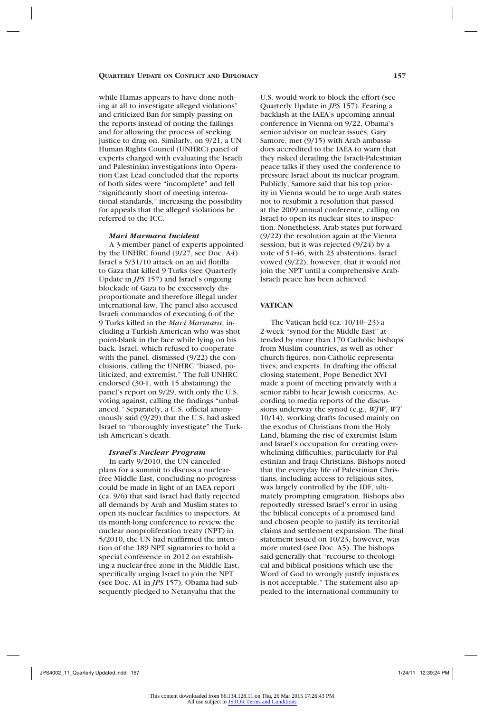while Hamas appears to have done nothing at all to investigate alleged violations" and criticized Ban for simply passing on the reports instead of noting the failings and for allowing the process of seeking justice to drag on. Similarly, on 9/21, a UN Human Rights Council (UNHRC) panel of experts charged with evaluating the Israeli and Palestinian investigations into Operation Cast Lead concluded that the reports of both sides were "incomplete" and fell "significantly short of meeting international standards," increasing the possibility for appeals that the alleged violations be referred to the ICC.

#### *Mavi Marmara Incident*

A 3-member panel of experts appointed by the UNHRC found (9/27, see Doc. A4) Israel's 5/31/10 attack on an aid flotilla to Gaza that killed 9 Turks (see Quarterly Update in *JPS* 157) and Israel's ongoing blockade of Gaza to be excessively disproportionate and therefore illegal under international law. The panel also accused Israeli commandos of executing 6 of the 9 Turks killed in the *Mavi Marmara*, including a Turkish American who was shot point-blank in the face while lying on his back. Israel, which refused to cooperate with the panel, dismissed (9/22) the conclusions, calling the UNHRC "biased, politicized, and extremist." The full UNHRC endorsed (30-1, with 15 abstaining) the panel's report on 9/29, with only the U.S. voting against, calling the findings "unbalanced." Separately, a U.S. official anonymously said (9/29) that the U.S. had asked Israel to "thoroughly investigate" the Turkish American's death.

## *Israel's Nuclear Program*

In early 9/2010, the UN canceled plans for a summit to discuss a nuclearfree Middle East, concluding no progress could be made in light of an IAEA report (ca. 9/6) that said Israel had flatly rejected all demands by Arab and Muslim states to open its nuclear facilities to inspectors. At its month-long conference to review the nuclear nonproliferation treaty (NPT) in 5/2010, the UN had reaffirmed the intention of the 189 NPT signatories to hold a special conference in 2012 on establishing a nuclear-free zone in the Middle East, specifically urging Israel to join the NPT (see Doc. A1 in *JPS* 157). Obama had subsequently pledged to Netanyahu that the

U.S. would work to block the effort (see Quarterly Update in *JPS* 157). Fearing a backlash at the IAEA's upcoming annual conference in Vienna on 9/22, Obama's senior advisor on nuclear issues, Gary Samore, met (9/15) with Arab ambassadors accredited to the IAEA to warn that they risked derailing the Israeli-Palestinian peace talks if they used the conference to pressure Israel about its nuclear program. Publicly, Samore said that his top priority in Vienna would be to urge Arab states not to resubmit a resolution that passed at the 2009 annual conference, calling on Israel to open its nuclear sites to inspection. Nonetheless, Arab states put forward (9/22) the resolution again at the Vienna session, but it was rejected (9/24) by a vote of 51-46, with 23 abstentions. Israel vowed (9/22), however, that it would not join the NPT until a comprehensive Arab-Israeli peace has been achieved.

#### **VATICAN**

The Vatican held (ca. 10/10–23) a 2-week "synod for the Middle East" attended by more than 170 Catholic bishops from Muslim countries, as well as other church figures, non-Catholic representatives, and experts. In drafting the official closing statement, Pope Benedict XVI made a point of meeting privately with a senior rabbi to hear Jewish concerns. According to media reports of the discussions underway the synod (e.g., *WJW*, *WT* 10/14), working drafts focused mainly on the exodus of Christians from the Holy Land, blaming the rise of extremist Islam and Israel's occupation for creating overwhelming difficulties, particularly for Palestinian and Iraqi Christians. Bishops noted that the everyday life of Palestinian Christians, including access to religious sites, was largely controlled by the IDF, ultimately prompting emigration. Bishops also reportedly stressed Israel's error in using the biblical concepts of a promised land and chosen people to justify its territorial claims and settlement expansion. The final statement issued on 10/23, however, was more muted (see Doc. A5). The bishops said generally that "recourse to theological and biblical positions which use the Word of God to wrongly justify injustices is not acceptable." The statement also appealed to the international community to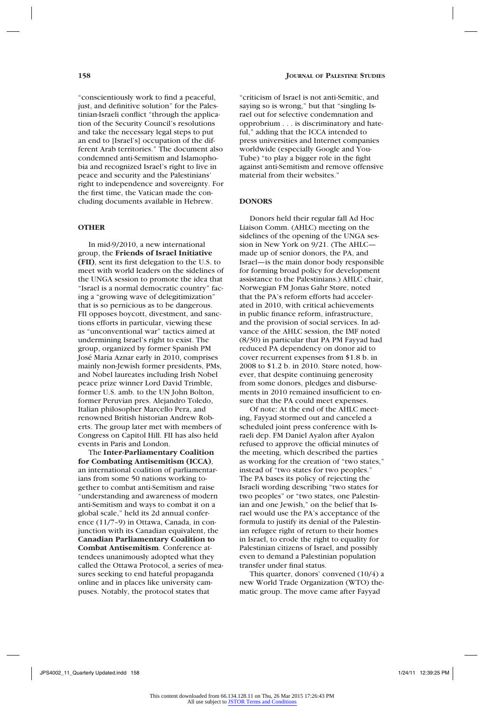"conscientiously work to find a peaceful, just, and definitive solution" for the Palestinian-Israeli conflict "through the application of the Security Council's resolutions and take the necessary legal steps to put an end to [Israel's] occupation of the different Arab territories." The document also condemned anti-Semitism and Islamophobia and recognized Israel's right to live in peace and security and the Palestinians' right to independence and sovereignty. For the first time, the Vatican made the concluding documents available in Hebrew.

## **OTHER**

In mid-9/2010, a new international group, the **Friends of Israel Initiative (FII)**, sent its first delegation to the U.S. to meet with world leaders on the sidelines of the UNGA session to promote the idea that "Israel is a normal democratic country" facing a "growing wave of delegitimization" that is so pernicious as to be dangerous. FII opposes boycott, divestment, and sanctions efforts in particular, viewing these as "unconventional war" tactics aimed at undermining Israel's right to exist. The group, organized by former Spanish PM José María Aznar early in 2010, comprises mainly non-Jewish former presidents, PMs, and Nobel laureates including Irish Nobel peace prize winner Lord David Trimble, former U.S. amb. to the UN John Bolton, former Peruvian pres. Alejandro Toledo, Italian philosopher Marcello Pera, and renowned British historian Andrew Roberts. The group later met with members of Congress on Capitol Hill. FII has also held events in Paris and London.

The **Inter-Parliamentary Coalition for Combating Antisemitism (ICCA)**, an international coalition of parliamentarians from some 50 nations working together to combat anti-Semitism and raise "understanding and awareness of modern anti-Semitism and ways to combat it on a global scale," held its 2d annual conference (11/7–9) in Ottawa, Canada, in conjunction with its Canadian equivalent, the **Canadian Parliamentary Coalition to Combat Antisemitism**. Conference attendees unanimously adopted what they called the Ottawa Protocol, a series of measures seeking to end hateful propaganda online and in places like university campuses. Notably, the protocol states that

"criticism of Israel is not anti-Semitic, and saying so is wrong," but that "singling Israel out for selective condemnation and opprobrium . . . is discriminatory and hateful," adding that the ICCA intended to press universities and Internet companies worldwide (especially Google and You-Tube) "to play a bigger role in the fight against anti-Semitism and remove offensive material from their websites."

## **DONORS**

Donors held their regular fall Ad Hoc Liaison Comm. (AHLC) meeting on the sidelines of the opening of the UNGA session in New York on 9/21. (The AHLC made up of senior donors, the PA, and Israel—is the main donor body responsible for forming broad policy for development assistance to the Palestinians.) AHLC chair, Norwegian FM Jonas Gahr Støre, noted that the PA's reform efforts had accelerated in 2010, with critical achievements in public finance reform, infrastructure, and the provision of social services. In advance of the AHLC session, the IMF noted (8/30) in particular that PA PM Fayyad had reduced PA dependency on donor aid to cover recurrent expenses from \$1.8 b. in 2008 to \$1.2 b. in 2010. Støre noted, however, that despite continuing generosity from some donors, pledges and disbursements in 2010 remained insufficient to ensure that the PA could meet expenses.

Of note: At the end of the AHLC meeting, Fayyad stormed out and canceled a scheduled joint press conference with Israeli dep. FM Daniel Ayalon after Ayalon refused to approve the official minutes of the meeting, which described the parties as working for the creation of "two states," instead of "two states for two peoples." The PA bases its policy of rejecting the Israeli wording describing "two states for two peoples" or "two states, one Palestinian and one Jewish," on the belief that Israel would use the PA's acceptance of the formula to justify its denial of the Palestinian refugee right of return to their homes in Israel, to erode the right to equality for Palestinian citizens of Israel, and possibly even to demand a Palestinian population transfer under final status.

This quarter, donors' convened (10/4) a new World Trade Organization (WTO) thematic group. The move came after Fayyad